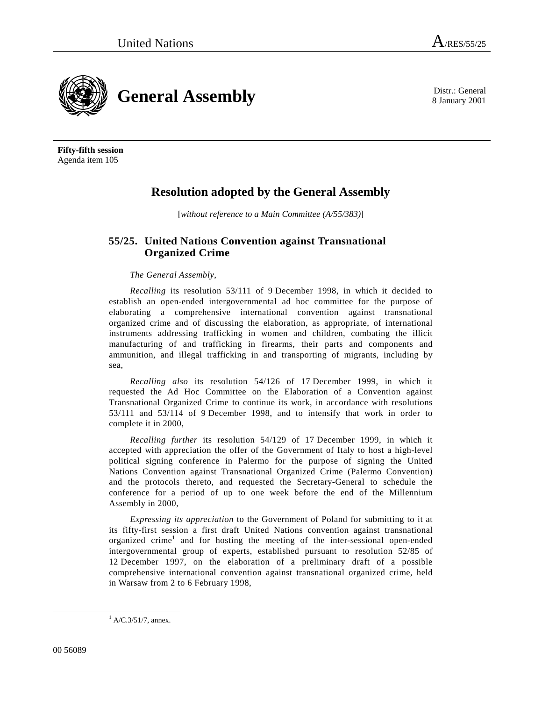

**Fifty-fifth session**  Agenda item 105

# **Resolution adopted by the General Assembly**

[*without reference to a Main Committee (A/55/383)*]

# **55/25. United Nations Convention against Transnational Organized Crime**

*The General Assembly*,

*Recalling* its resolution 53/111 of 9 December 1998, in which it decided to establish an open-ended intergovernmental ad hoc committee for the purpose of elaborating a comprehensive international convention against transnational organized crime and of discussing the elaboration, as appropriate, of international instruments addressing trafficking in women and children, combating the illicit manufacturing of and trafficking in firearms, their parts and components and ammunition, and illegal trafficking in and transporting of migrants, including by sea,

*Recalling also* its resolution 54/126 of 17 December 1999, in which it requested the Ad Hoc Committee on the Elaboration of a Convention against Transnational Organized Crime to continue its work, in accordance with resolutions 53/111 and 53/114 of 9 December 1998, and to intensify that work in order to complete it in 2000,

*Recalling further* its resolution 54/129 of 17 December 1999, in which it accepted with appreciation the offer of the Government of Italy to host a high-level political signing conference in Palermo for the purpose of signing the United Nations Convention against Transnational Organized Crime (Palermo Convention) and the protocols thereto, and requested the Secretary-General to schedule the conference for a period of up to one week before the end of the Millennium Assembly in 2000,

*Expressing its appreciation* to the Government of Poland for submitting to it at its fifty-first session a first draft United Nations convention against transnational organized crime<sup>1</sup> and for hosting the meeting of the inter-sessional open-ended intergovernmental group of experts, established pursuant to resolution 52/85 of 12 December 1997, on the elaboration of a preliminary draft of a possible comprehensive international convention against transnational organized crime, held in Warsaw from 2 to 6 February 1998,

8 January 2001

<sup>&</sup>lt;u>1</u>  $^{1}$  A/C.3/51/7, annex.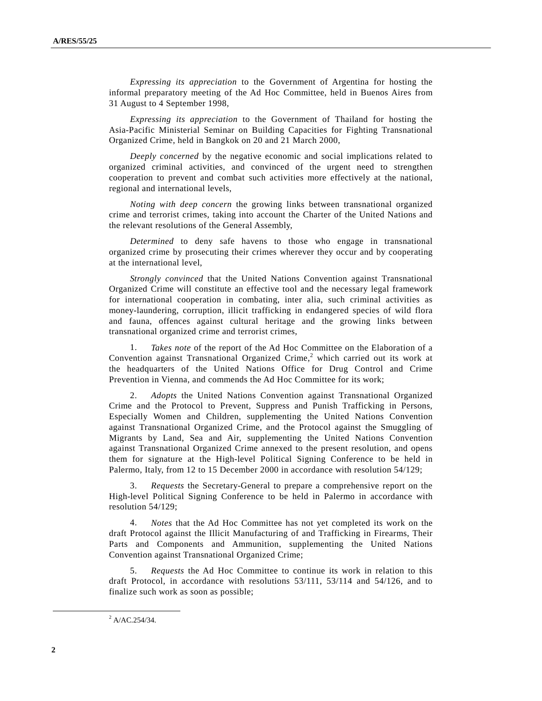*Expressing its appreciation* to the Government of Argentina for hosting the informal preparatory meeting of the Ad Hoc Committee, held in Buenos Aires from 31 August to 4 September 1998,

*Expressing its appreciation* to the Government of Thailand for hosting the Asia-Pacific Ministerial Seminar on Building Capacities for Fighting Transnational Organized Crime, held in Bangkok on 20 and 21 March 2000,

*Deeply concerned* by the negative economic and social implications related to organized criminal activities, and convinced of the urgent need to strengthen cooperation to prevent and combat such activities more effectively at the national, regional and international levels,

*Noting with deep concern* the growing links between transnational organized crime and terrorist crimes, taking into account the Charter of the United Nations and the relevant resolutions of the General Assembly,

*Determined* to deny safe havens to those who engage in transnational organized crime by prosecuting their crimes wherever they occur and by cooperating at the international level,

*Strongly convinced* that the United Nations Convention against Transnational Organized Crime will constitute an effective tool and the necessary legal framework for international cooperation in combating, inter alia, such criminal activities as money-laundering, corruption, illicit trafficking in endangered species of wild flora and fauna, offences against cultural heritage and the growing links between transnational organized crime and terrorist crimes,

 1. *Takes note* of the report of the Ad Hoc Committee on the Elaboration of a Convention against Transnational Organized Crime,<sup>2</sup> which carried out its work at the headquarters of the United Nations Office for Drug Control and Crime Prevention in Vienna, and commends the Ad Hoc Committee for its work;

 2. *Adopts* the United Nations Convention against Transnational Organized Crime and the Protocol to Prevent, Suppress and Punish Trafficking in Persons, Especially Women and Children, supplementing the United Nations Convention against Transnational Organized Crime, and the Protocol against the Smuggling of Migrants by Land, Sea and Air, supplementing the United Nations Convention against Transnational Organized Crime annexed to the present resolution, and opens them for signature at the High-level Political Signing Conference to be held in Palermo, Italy, from 12 to 15 December 2000 in accordance with resolution 54/129;

 3. *Requests* the Secretary-General to prepare a comprehensive report on the High-level Political Signing Conference to be held in Palermo in accordance with resolution 54/129;

 4. *Notes* that the Ad Hoc Committee has not yet completed its work on the draft Protocol against the Illicit Manufacturing of and Trafficking in Firearms, Their Parts and Components and Ammunition, supplementing the United Nations Convention against Transnational Organized Crime;

 5. *Requests* the Ad Hoc Committee to continue its work in relation to this draft Protocol, in accordance with resolutions 53/111, 53/114 and 54/126, and to finalize such work as soon as possible;

 2  $^{2}$  A/AC.254/34.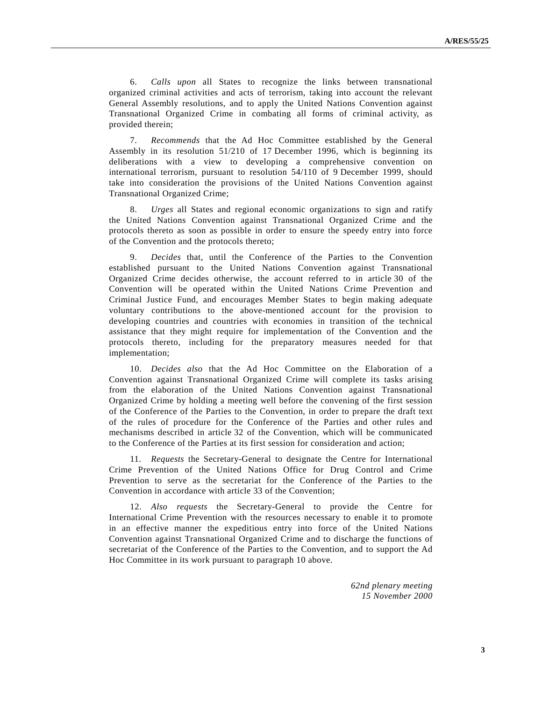6. *Calls upon* all States to recognize the links between transnational organized criminal activities and acts of terrorism, taking into account the relevant General Assembly resolutions, and to apply the United Nations Convention against Transnational Organized Crime in combating all forms of criminal activity, as provided therein;

 7. *Recommends* that the Ad Hoc Committee established by the General Assembly in its resolution 51/210 of 17 December 1996, which is beginning its deliberations with a view to developing a comprehensive convention on international terrorism, pursuant to resolution 54/110 of 9 December 1999, should take into consideration the provisions of the United Nations Convention against Transnational Organized Crime;

 8. *Urges* all States and regional economic organizations to sign and ratify the United Nations Convention against Transnational Organized Crime and the protocols thereto as soon as possible in order to ensure the speedy entry into force of the Convention and the protocols thereto;

 9. *Decides* that, until the Conference of the Parties to the Convention established pursuant to the United Nations Convention against Transnational Organized Crime decides otherwise, the account referred to in article 30 of the Convention will be operated within the United Nations Crime Prevention and Criminal Justice Fund, and encourages Member States to begin making adequate voluntary contributions to the above-mentioned account for the provision to developing countries and countries with economies in transition of the technical assistance that they might require for implementation of the Convention and the protocols thereto, including for the preparatory measures needed for that implementation;

 10. *Decides also* that the Ad Hoc Committee on the Elaboration of a Convention against Transnational Organized Crime will complete its tasks arising from the elaboration of the United Nations Convention against Transnational Organized Crime by holding a meeting well before the convening of the first session of the Conference of the Parties to the Convention, in order to prepare the draft text of the rules of procedure for the Conference of the Parties and other rules and mechanisms described in article 32 of the Convention, which will be communicated to the Conference of the Parties at its first session for consideration and action;

 11. *Requests* the Secretary-General to designate the Centre for International Crime Prevention of the United Nations Office for Drug Control and Crime Prevention to serve as the secretariat for the Conference of the Parties to the Convention in accordance with article 33 of the Convention;

 12. *Also requests* the Secretary-General to provide the Centre for International Crime Prevention with the resources necessary to enable it to promote in an effective manner the expeditious entry into force of the United Nations Convention against Transnational Organized Crime and to discharge the functions of secretariat of the Conference of the Parties to the Convention, and to support the Ad Hoc Committee in its work pursuant to paragraph 10 above.

> *62nd plenary meeting 15 November 2000*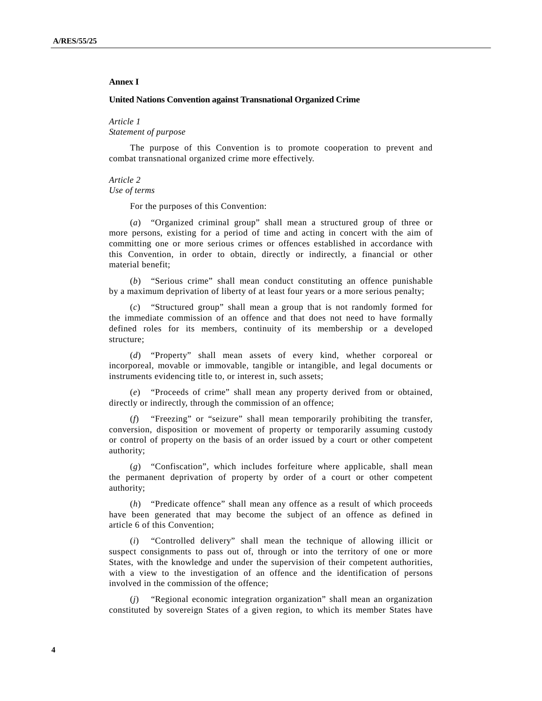# **Annex I**

#### **United Nations Convention against Transnational Organized Crime**

*Article 1 Statement of purpose* 

 The purpose of this Convention is to promote cooperation to prevent and combat transnational organized crime more effectively.

# *Article 2 Use of terms*

For the purposes of this Convention:

 (*a*) "Organized criminal group" shall mean a structured group of three or more persons, existing for a period of time and acting in concert with the aim of committing one or more serious crimes or offences established in accordance with this Convention, in order to obtain, directly or indirectly, a financial or other material benefit;

 (*b*) "Serious crime" shall mean conduct constituting an offence punishable by a maximum deprivation of liberty of at least four years or a more serious penalty;

 (*c*) "Structured group" shall mean a group that is not randomly formed for the immediate commission of an offence and that does not need to have formally defined roles for its members, continuity of its membership or a developed structure;

 (*d*) "Property" shall mean assets of every kind, whether corporeal or incorporeal, movable or immovable, tangible or intangible, and legal documents or instruments evidencing title to, or interest in, such assets;

 (*e*) "Proceeds of crime" shall mean any property derived from or obtained, directly or indirectly, through the commission of an offence;

 (*f*) "Freezing" or "seizure" shall mean temporarily prohibiting the transfer, conversion, disposition or movement of property or temporarily assuming custody or control of property on the basis of an order issued by a court or other competent authority;

 (*g*) "Confiscation", which includes forfeiture where applicable, shall mean the permanent deprivation of property by order of a court or other competent authority;

 (*h*) "Predicate offence" shall mean any offence as a result of which proceeds have been generated that may become the subject of an offence as defined in article 6 of this Convention;

 (*i*) "Controlled delivery" shall mean the technique of allowing illicit or suspect consignments to pass out of, through or into the territory of one or more States, with the knowledge and under the supervision of their competent authorities, with a view to the investigation of an offence and the identification of persons involved in the commission of the offence;

 (*j*) "Regional economic integration organization" shall mean an organization constituted by sovereign States of a given region, to which its member States have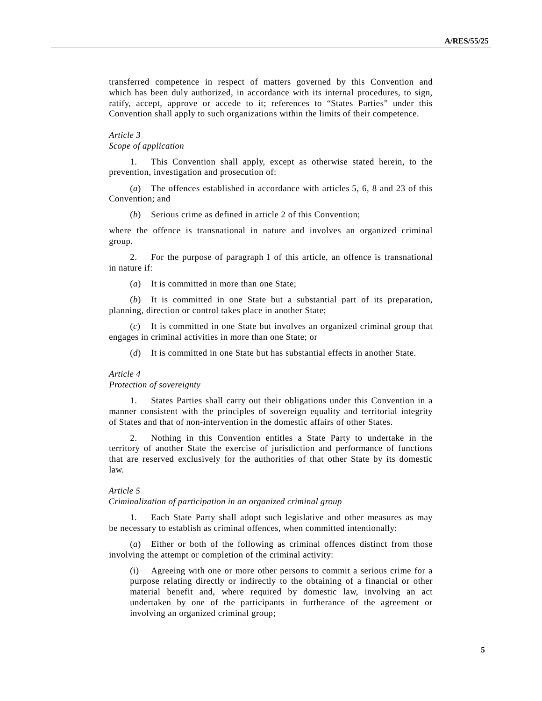transferred competence in respect of matters governed by this Convention and which has been duly authorized, in accordance with its internal procedures, to sign, ratify, accept, approve or accede to it; references to "States Parties" under this Convention shall apply to such organizations within the limits of their competence.

## *Article 3*

*Scope of application* 

 1. This Convention shall apply, except as otherwise stated herein, to the prevention, investigation and prosecution of:

 (*a*) The offences established in accordance with articles 5, 6, 8 and 23 of this Convention; and

(*b*) Serious crime as defined in article 2 of this Convention;

where the offence is transnational in nature and involves an organized criminal group.

 2. For the purpose of paragraph 1 of this article, an offence is transnational in nature if:

(*a*) It is committed in more than one State;

 (*b*) It is committed in one State but a substantial part of its preparation, planning, direction or control takes place in another State;

It is committed in one State but involves an organized criminal group that engages in criminal activities in more than one State; or

(*d*) It is committed in one State but has substantial effects in another State.

# *Article 4*

#### *Protection of sovereignty*

 1. States Parties shall carry out their obligations under this Convention in a manner consistent with the principles of sovereign equality and territorial integrity of States and that of non-intervention in the domestic affairs of other States.

 2. Nothing in this Convention entitles a State Party to undertake in the territory of another State the exercise of jurisdiction and performance of functions that are reserved exclusively for the authorities of that other State by its domestic law.

## *Article 5*

*Criminalization of participation in an organized criminal group* 

 1. Each State Party shall adopt such legislative and other measures as may be necessary to establish as criminal offences, when committed intentionally:

 (*a*) Either or both of the following as criminal offences distinct from those involving the attempt or completion of the criminal activity:

 (i) Agreeing with one or more other persons to commit a serious crime for a purpose relating directly or indirectly to the obtaining of a financial or other material benefit and, where required by domestic law, involving an act undertaken by one of the participants in furtherance of the agreement or involving an organized criminal group;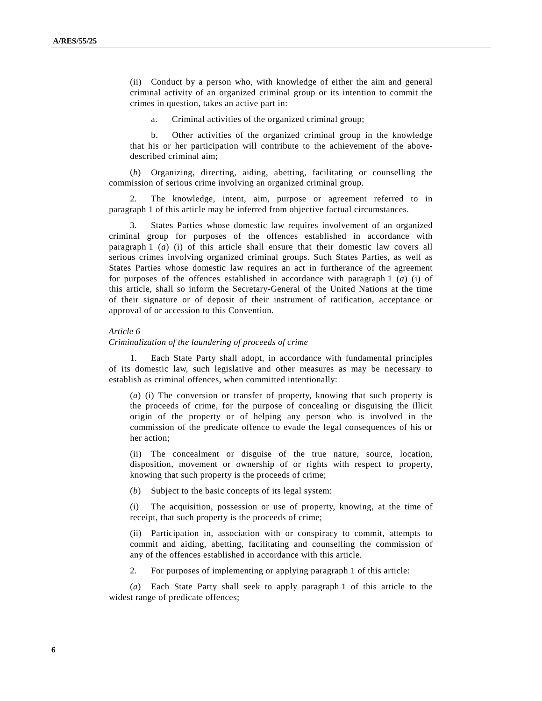(ii) Conduct by a person who, with knowledge of either the aim and general criminal activity of an organized criminal group or its intention to commit the crimes in question, takes an active part in:

a. Criminal activities of the organized criminal group;

 b. Other activities of the organized criminal group in the knowledge that his or her participation will contribute to the achievement of the abovedescribed criminal aim;

 (*b*) Organizing, directing, aiding, abetting, facilitating or counselling the commission of serious crime involving an organized criminal group.

 2. The knowledge, intent, aim, purpose or agreement referred to in paragraph 1 of this article may be inferred from objective factual circumstances.

 3. States Parties whose domestic law requires involvement of an organized criminal group for purposes of the offences established in accordance with paragraph 1 (*a*) (i) of this article shall ensure that their domestic law covers all serious crimes involving organized criminal groups. Such States Parties, as well as States Parties whose domestic law requires an act in furtherance of the agreement for purposes of the offences established in accordance with paragraph 1 (*a*) (i) of this article, shall so inform the Secretary-General of the United Nations at the time of their signature or of deposit of their instrument of ratification, acceptance or approval of or accession to this Convention.

#### *Article 6*

#### *Criminalization of the laundering of proceeds of crime*

 1. Each State Party shall adopt, in accordance with fundamental principles of its domestic law, such legislative and other measures as may be necessary to establish as criminal offences, when committed intentionally:

 (*a*) (i) The conversion or transfer of property, knowing that such property is the proceeds of crime, for the purpose of concealing or disguising the illicit origin of the property or of helping any person who is involved in the commission of the predicate offence to evade the legal consequences of his or her action;

 (ii) The concealment or disguise of the true nature, source, location, disposition, movement or ownership of or rights with respect to property, knowing that such property is the proceeds of crime;

(*b*) Subject to the basic concepts of its legal system:

 (i) The acquisition, possession or use of property, knowing, at the time of receipt, that such property is the proceeds of crime;

 (ii) Participation in, association with or conspiracy to commit, attempts to commit and aiding, abetting, facilitating and counselling the commission of any of the offences established in accordance with this article.

2. For purposes of implementing or applying paragraph 1 of this article:

 (*a*) Each State Party shall seek to apply paragraph 1 of this article to the widest range of predicate offences;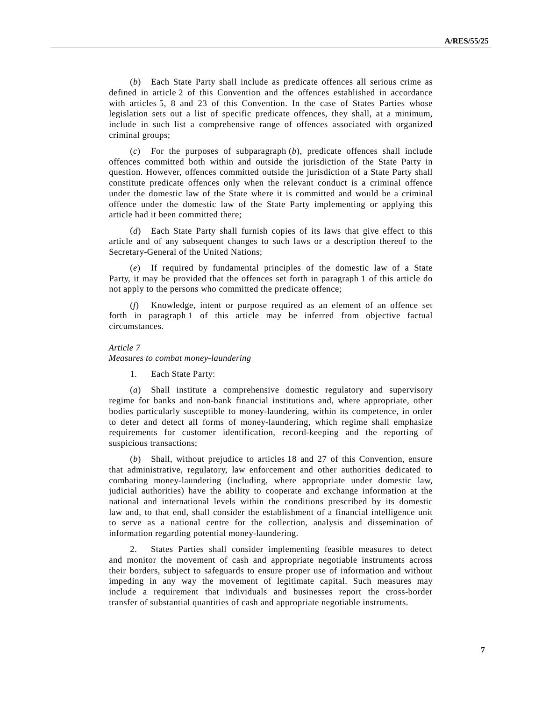(*b*) Each State Party shall include as predicate offences all serious crime as defined in article 2 of this Convention and the offences established in accordance with articles 5, 8 and 23 of this Convention. In the case of States Parties whose legislation sets out a list of specific predicate offences, they shall, at a minimum, include in such list a comprehensive range of offences associated with organized criminal groups;

 (*c*) For the purposes of subparagraph (*b*), predicate offences shall include offences committed both within and outside the jurisdiction of the State Party in question. However, offences committed outside the jurisdiction of a State Party shall constitute predicate offences only when the relevant conduct is a criminal offence under the domestic law of the State where it is committed and would be a criminal offence under the domestic law of the State Party implementing or applying this article had it been committed there;

 (*d*) Each State Party shall furnish copies of its laws that give effect to this article and of any subsequent changes to such laws or a description thereof to the Secretary-General of the United Nations;

 (*e*) If required by fundamental principles of the domestic law of a State Party, it may be provided that the offences set forth in paragraph 1 of this article do not apply to the persons who committed the predicate offence;

Knowledge, intent or purpose required as an element of an offence set forth in paragraph 1 of this article may be inferred from objective factual circumstances.

#### *Article 7*

# *Measures to combat money-laundering*

1. Each State Party:

 (*a*) Shall institute a comprehensive domestic regulatory and supervisory regime for banks and non-bank financial institutions and, where appropriate, other bodies particularly susceptible to money-laundering, within its competence, in order to deter and detect all forms of money-laundering, which regime shall emphasize requirements for customer identification, record-keeping and the reporting of suspicious transactions;

 (*b*) Shall, without prejudice to articles 18 and 27 of this Convention, ensure that administrative, regulatory, law enforcement and other authorities dedicated to combating money-laundering (including, where appropriate under domestic law, judicial authorities) have the ability to cooperate and exchange information at the national and international levels within the conditions prescribed by its domestic law and, to that end, shall consider the establishment of a financial intelligence unit to serve as a national centre for the collection, analysis and dissemination of information regarding potential money-laundering.

 2. States Parties shall consider implementing feasible measures to detect and monitor the movement of cash and appropriate negotiable instruments across their borders, subject to safeguards to ensure proper use of information and without impeding in any way the movement of legitimate capital. Such measures may include a requirement that individuals and businesses report the cross-border transfer of substantial quantities of cash and appropriate negotiable instruments.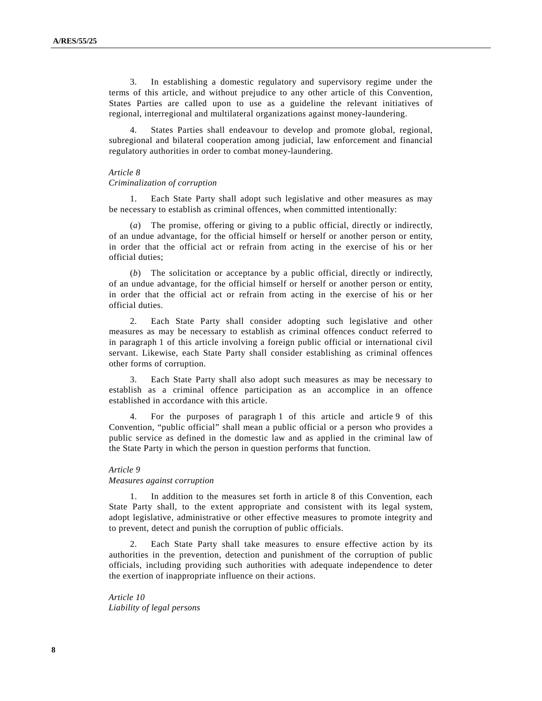3. In establishing a domestic regulatory and supervisory regime under the terms of this article, and without prejudice to any other article of this Convention, States Parties are called upon to use as a guideline the relevant initiatives of regional, interregional and multilateral organizations against money-laundering.

 4. States Parties shall endeavour to develop and promote global, regional, subregional and bilateral cooperation among judicial, law enforcement and financial regulatory authorities in order to combat money-laundering.

#### *Article 8*

## *Criminalization of corruption*

 1. Each State Party shall adopt such legislative and other measures as may be necessary to establish as criminal offences, when committed intentionally:

 (*a*) The promise, offering or giving to a public official, directly or indirectly, of an undue advantage, for the official himself or herself or another person or entity, in order that the official act or refrain from acting in the exercise of his or her official duties;

 (*b*) The solicitation or acceptance by a public official, directly or indirectly, of an undue advantage, for the official himself or herself or another person or entity, in order that the official act or refrain from acting in the exercise of his or her official duties.

 2. Each State Party shall consider adopting such legislative and other measures as may be necessary to establish as criminal offences conduct referred to in paragraph 1 of this article involving a foreign public official or international civil servant. Likewise, each State Party shall consider establishing as criminal offences other forms of corruption.

 3. Each State Party shall also adopt such measures as may be necessary to establish as a criminal offence participation as an accomplice in an offence established in accordance with this article.

 4. For the purposes of paragraph 1 of this article and article 9 of this Convention, "public official" shall mean a public official or a person who provides a public service as defined in the domestic law and as applied in the criminal law of the State Party in which the person in question performs that function.

#### *Article 9*

# *Measures against corruption*

 1. In addition to the measures set forth in article 8 of this Convention, each State Party shall, to the extent appropriate and consistent with its legal system, adopt legislative, administrative or other effective measures to promote integrity and to prevent, detect and punish the corruption of public officials.

 2. Each State Party shall take measures to ensure effective action by its authorities in the prevention, detection and punishment of the corruption of public officials, including providing such authorities with adequate independence to deter the exertion of inappropriate influence on their actions.

*Article 10 Liability of legal persons*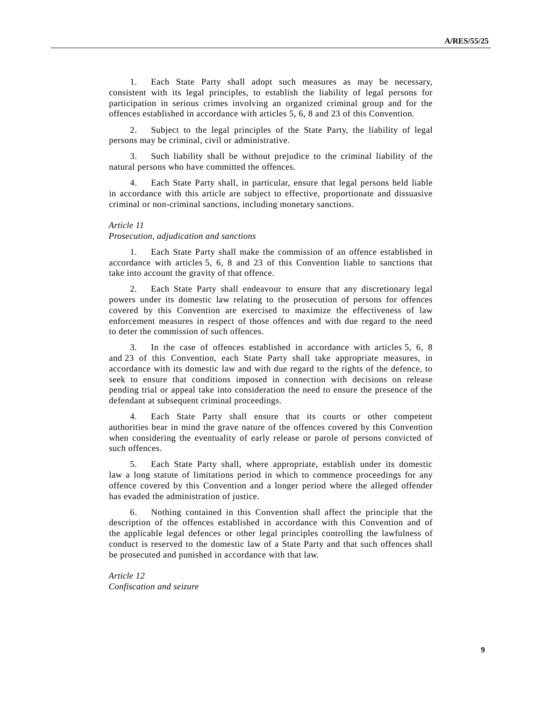1. Each State Party shall adopt such measures as may be necessary, consistent with its legal principles, to establish the liability of legal persons for participation in serious crimes involving an organized criminal group and for the offences established in accordance with articles 5, 6, 8 and 23 of this Convention.

 2. Subject to the legal principles of the State Party, the liability of legal persons may be criminal, civil or administrative.

 3. Such liability shall be without prejudice to the criminal liability of the natural persons who have committed the offences.

 4. Each State Party shall, in particular, ensure that legal persons held liable in accordance with this article are subject to effective, proportionate and dissuasive criminal or non-criminal sanctions, including monetary sanctions.

# *Article 11*

#### *Prosecution, adjudication and sanctions*

 1. Each State Party shall make the commission of an offence established in accordance with articles 5, 6, 8 and 23 of this Convention liable to sanctions that take into account the gravity of that offence.

 2. Each State Party shall endeavour to ensure that any discretionary legal powers under its domestic law relating to the prosecution of persons for offences covered by this Convention are exercised to maximize the effectiveness of law enforcement measures in respect of those offences and with due regard to the need to deter the commission of such offences.

 3. In the case of offences established in accordance with articles 5, 6, 8 and 23 of this Convention, each State Party shall take appropriate measures, in accordance with its domestic law and with due regard to the rights of the defence, to seek to ensure that conditions imposed in connection with decisions on release pending trial or appeal take into consideration the need to ensure the presence of the defendant at subsequent criminal proceedings.

 4. Each State Party shall ensure that its courts or other competent authorities bear in mind the grave nature of the offences covered by this Convention when considering the eventuality of early release or parole of persons convicted of such offences.

 5. Each State Party shall, where appropriate, establish under its domestic law a long statute of limitations period in which to commence proceedings for any offence covered by this Convention and a longer period where the alleged offender has evaded the administration of justice.

 6. Nothing contained in this Convention shall affect the principle that the description of the offences established in accordance with this Convention and of the applicable legal defences or other legal principles controlling the lawfulness of conduct is reserved to the domestic law of a State Party and that such offences shall be prosecuted and punished in accordance with that law.

*Article 12 Confiscation and seizure*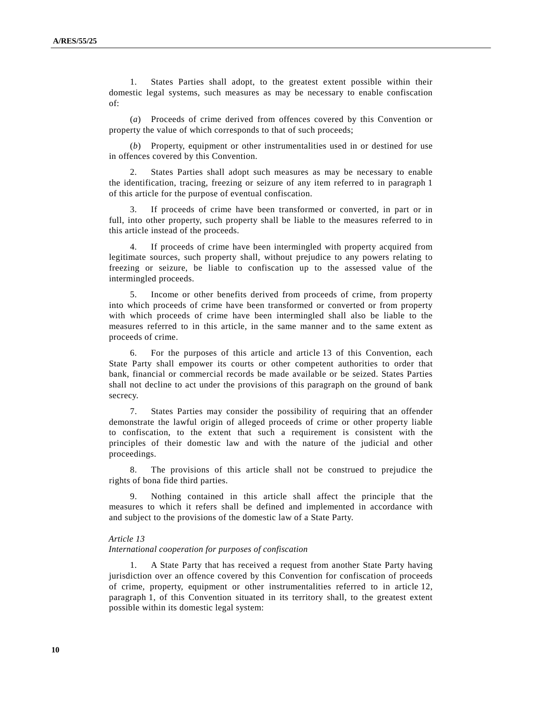1. States Parties shall adopt, to the greatest extent possible within their domestic legal systems, such measures as may be necessary to enable confiscation of:

 (*a*) Proceeds of crime derived from offences covered by this Convention or property the value of which corresponds to that of such proceeds;

 (*b*) Property, equipment or other instrumentalities used in or destined for use in offences covered by this Convention.

 2. States Parties shall adopt such measures as may be necessary to enable the identification, tracing, freezing or seizure of any item referred to in paragraph 1 of this article for the purpose of eventual confiscation.

 3. If proceeds of crime have been transformed or converted, in part or in full, into other property, such property shall be liable to the measures referred to in this article instead of the proceeds.

 4. If proceeds of crime have been intermingled with property acquired from legitimate sources, such property shall, without prejudice to any powers relating to freezing or seizure, be liable to confiscation up to the assessed value of the intermingled proceeds.

 5. Income or other benefits derived from proceeds of crime, from property into which proceeds of crime have been transformed or converted or from property with which proceeds of crime have been intermingled shall also be liable to the measures referred to in this article, in the same manner and to the same extent as proceeds of crime.

 6. For the purposes of this article and article 13 of this Convention, each State Party shall empower its courts or other competent authorities to order that bank, financial or commercial records be made available or be seized. States Parties shall not decline to act under the provisions of this paragraph on the ground of bank secrecy.

 7. States Parties may consider the possibility of requiring that an offender demonstrate the lawful origin of alleged proceeds of crime or other property liable to confiscation, to the extent that such a requirement is consistent with the principles of their domestic law and with the nature of the judicial and other proceedings.

 8. The provisions of this article shall not be construed to prejudice the rights of bona fide third parties.

 9. Nothing contained in this article shall affect the principle that the measures to which it refers shall be defined and implemented in accordance with and subject to the provisions of the domestic law of a State Party.

#### *Article 13*

*International cooperation for purposes of confiscation* 

 1. A State Party that has received a request from another State Party having jurisdiction over an offence covered by this Convention for confiscation of proceeds of crime, property, equipment or other instrumentalities referred to in article 12, paragraph 1, of this Convention situated in its territory shall, to the greatest extent possible within its domestic legal system: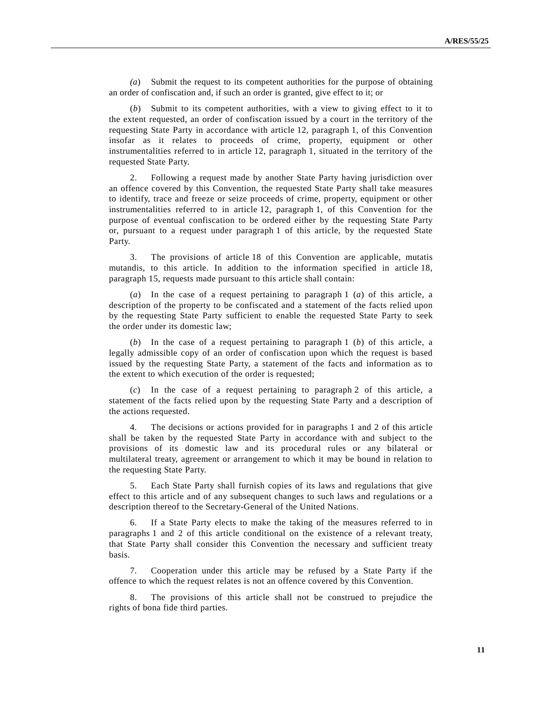*(a*) Submit the request to its competent authorities for the purpose of obtaining an order of confiscation and, if such an order is granted, give effect to it; or

 (*b*) Submit to its competent authorities, with a view to giving effect to it to the extent requested, an order of confiscation issued by a court in the territory of the requesting State Party in accordance with article 12, paragraph 1, of this Convention insofar as it relates to proceeds of crime, property, equipment or other instrumentalities referred to in article 12, paragraph 1, situated in the territory of the requested State Party.

 2. Following a request made by another State Party having jurisdiction over an offence covered by this Convention, the requested State Party shall take measures to identify, trace and freeze or seize proceeds of crime, property, equipment or other instrumentalities referred to in article 12, paragraph 1, of this Convention for the purpose of eventual confiscation to be ordered either by the requesting State Party or, pursuant to a request under paragraph 1 of this article, by the requested State Party.

 3. The provisions of article 18 of this Convention are applicable, mutatis mutandis, to this article. In addition to the information specified in article 18, paragraph 15, requests made pursuant to this article shall contain:

 (*a*) In the case of a request pertaining to paragraph 1 (*a*) of this article, a description of the property to be confiscated and a statement of the facts relied upon by the requesting State Party sufficient to enable the requested State Party to seek the order under its domestic law;

 (*b*) In the case of a request pertaining to paragraph 1 (*b*) of this article, a legally admissible copy of an order of confiscation upon which the request is based issued by the requesting State Party, a statement of the facts and information as to the extent to which execution of the order is requested;

 (*c*) In the case of a request pertaining to paragraph 2 of this article, a statement of the facts relied upon by the requesting State Party and a description of the actions requested.

The decisions or actions provided for in paragraphs 1 and 2 of this article shall be taken by the requested State Party in accordance with and subject to the provisions of its domestic law and its procedural rules or any bilateral or multilateral treaty, agreement or arrangement to which it may be bound in relation to the requesting State Party.

 5. Each State Party shall furnish copies of its laws and regulations that give effect to this article and of any subsequent changes to such laws and regulations or a description thereof to the Secretary-General of the United Nations.

 6. If a State Party elects to make the taking of the measures referred to in paragraphs 1 and 2 of this article conditional on the existence of a relevant treaty, that State Party shall consider this Convention the necessary and sufficient treaty basis.

 7. Cooperation under this article may be refused by a State Party if the offence to which the request relates is not an offence covered by this Convention.

 8. The provisions of this article shall not be construed to prejudice the rights of bona fide third parties.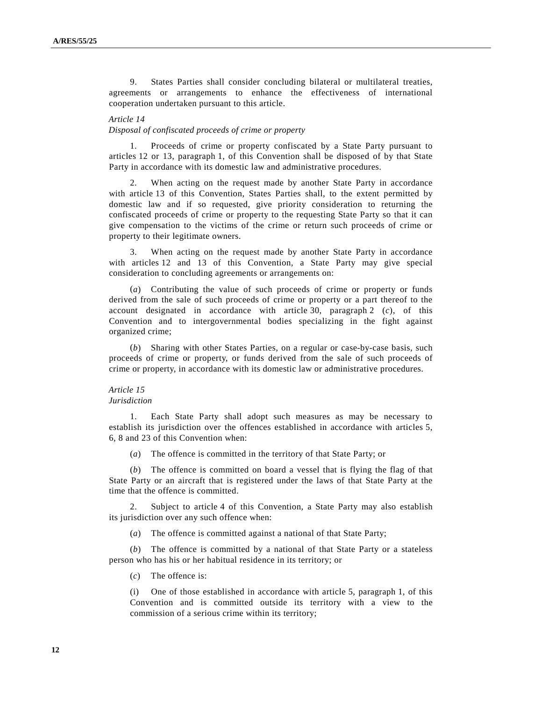9. States Parties shall consider concluding bilateral or multilateral treaties, agreements or arrangements to enhance the effectiveness of international cooperation undertaken pursuant to this article.

#### *Article 14*

## *Disposal of confiscated proceeds of crime or property*

 1. Proceeds of crime or property confiscated by a State Party pursuant to articles 12 or 13, paragraph 1, of this Convention shall be disposed of by that State Party in accordance with its domestic law and administrative procedures.

 2. When acting on the request made by another State Party in accordance with article 13 of this Convention, States Parties shall, to the extent permitted by domestic law and if so requested, give priority consideration to returning the confiscated proceeds of crime or property to the requesting State Party so that it can give compensation to the victims of the crime or return such proceeds of crime or property to their legitimate owners.

 3. When acting on the request made by another State Party in accordance with articles 12 and 13 of this Convention, a State Party may give special consideration to concluding agreements or arrangements on:

 (*a*) Contributing the value of such proceeds of crime or property or funds derived from the sale of such proceeds of crime or property or a part thereof to the account designated in accordance with article 30, paragraph 2 (*c*), of this Convention and to intergovernmental bodies specializing in the fight against organized crime;

 (*b*) Sharing with other States Parties, on a regular or case-by-case basis, such proceeds of crime or property, or funds derived from the sale of such proceeds of crime or property, in accordance with its domestic law or administrative procedures.

#### *Article 15 Jurisdiction*

 1. Each State Party shall adopt such measures as may be necessary to establish its jurisdiction over the offences established in accordance with articles 5, 6, 8 and 23 of this Convention when:

(*a*) The offence is committed in the territory of that State Party; or

 (*b*) The offence is committed on board a vessel that is flying the flag of that State Party or an aircraft that is registered under the laws of that State Party at the time that the offence is committed.

 2. Subject to article 4 of this Convention, a State Party may also establish its jurisdiction over any such offence when:

(*a*) The offence is committed against a national of that State Party;

 (*b*) The offence is committed by a national of that State Party or a stateless person who has his or her habitual residence in its territory; or

(*c*) The offence is:

 (i) One of those established in accordance with article 5, paragraph 1, of this Convention and is committed outside its territory with a view to the commission of a serious crime within its territory;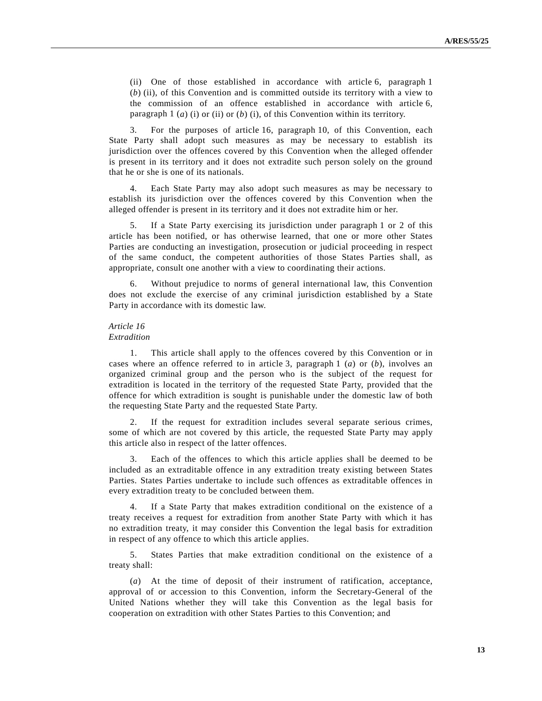(ii) One of those established in accordance with article 6, paragraph 1 (*b*) (ii), of this Convention and is committed outside its territory with a view to the commission of an offence established in accordance with article 6, paragraph  $1(a)$  (i) or (ii) or (b) (i), of this Convention within its territory.

 3. For the purposes of article 16, paragraph 10, of this Convention, each State Party shall adopt such measures as may be necessary to establish its jurisdiction over the offences covered by this Convention when the alleged offender is present in its territory and it does not extradite such person solely on the ground that he or she is one of its nationals.

 4. Each State Party may also adopt such measures as may be necessary to establish its jurisdiction over the offences covered by this Convention when the alleged offender is present in its territory and it does not extradite him or her.

 5. If a State Party exercising its jurisdiction under paragraph 1 or 2 of this article has been notified, or has otherwise learned, that one or more other States Parties are conducting an investigation, prosecution or judicial proceeding in respect of the same conduct, the competent authorities of those States Parties shall, as appropriate, consult one another with a view to coordinating their actions.

 6. Without prejudice to norms of general international law, this Convention does not exclude the exercise of any criminal jurisdiction established by a State Party in accordance with its domestic law.

# *Article 16*

# *Extradition*

 1. This article shall apply to the offences covered by this Convention or in cases where an offence referred to in article 3, paragraph 1 (*a*) or (*b*), involves an organized criminal group and the person who is the subject of the request for extradition is located in the territory of the requested State Party, provided that the offence for which extradition is sought is punishable under the domestic law of both the requesting State Party and the requested State Party.

 2. If the request for extradition includes several separate serious crimes, some of which are not covered by this article, the requested State Party may apply this article also in respect of the latter offences.

 3. Each of the offences to which this article applies shall be deemed to be included as an extraditable offence in any extradition treaty existing between States Parties. States Parties undertake to include such offences as extraditable offences in every extradition treaty to be concluded between them.

If a State Party that makes extradition conditional on the existence of a treaty receives a request for extradition from another State Party with which it has no extradition treaty, it may consider this Convention the legal basis for extradition in respect of any offence to which this article applies.

 5. States Parties that make extradition conditional on the existence of a treaty shall:

 (*a*) At the time of deposit of their instrument of ratification, acceptance, approval of or accession to this Convention, inform the Secretary-General of the United Nations whether they will take this Convention as the legal basis for cooperation on extradition with other States Parties to this Convention; and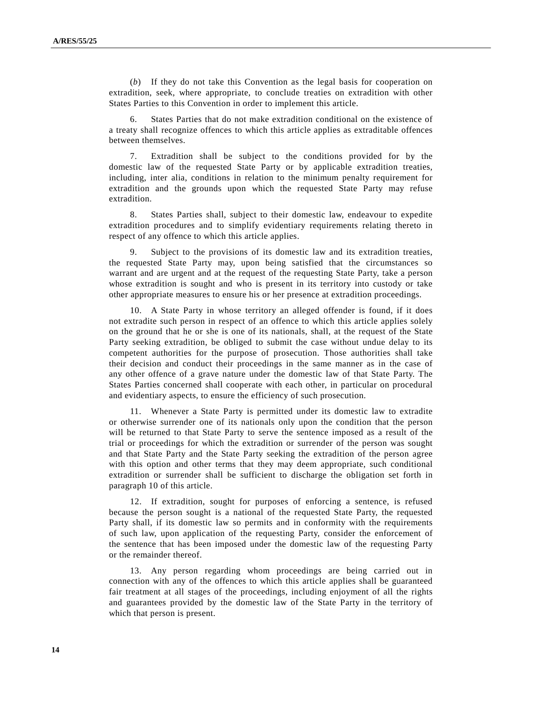(*b*) If they do not take this Convention as the legal basis for cooperation on extradition, seek, where appropriate, to conclude treaties on extradition with other States Parties to this Convention in order to implement this article.

States Parties that do not make extradition conditional on the existence of a treaty shall recognize offences to which this article applies as extraditable offences between themselves.

 7. Extradition shall be subject to the conditions provided for by the domestic law of the requested State Party or by applicable extradition treaties, including, inter alia, conditions in relation to the minimum penalty requirement for extradition and the grounds upon which the requested State Party may refuse extradition.

 8. States Parties shall, subject to their domestic law, endeavour to expedite extradition procedures and to simplify evidentiary requirements relating thereto in respect of any offence to which this article applies.

 9. Subject to the provisions of its domestic law and its extradition treaties, the requested State Party may, upon being satisfied that the circumstances so warrant and are urgent and at the request of the requesting State Party, take a person whose extradition is sought and who is present in its territory into custody or take other appropriate measures to ensure his or her presence at extradition proceedings.

 10. A State Party in whose territory an alleged offender is found, if it does not extradite such person in respect of an offence to which this article applies solely on the ground that he or she is one of its nationals, shall, at the request of the State Party seeking extradition, be obliged to submit the case without undue delay to its competent authorities for the purpose of prosecution. Those authorities shall take their decision and conduct their proceedings in the same manner as in the case of any other offence of a grave nature under the domestic law of that State Party. The States Parties concerned shall cooperate with each other, in particular on procedural and evidentiary aspects, to ensure the efficiency of such prosecution.

 11. Whenever a State Party is permitted under its domestic law to extradite or otherwise surrender one of its nationals only upon the condition that the person will be returned to that State Party to serve the sentence imposed as a result of the trial or proceedings for which the extradition or surrender of the person was sought and that State Party and the State Party seeking the extradition of the person agree with this option and other terms that they may deem appropriate, such conditional extradition or surrender shall be sufficient to discharge the obligation set forth in paragraph 10 of this article.

 12. If extradition, sought for purposes of enforcing a sentence, is refused because the person sought is a national of the requested State Party, the requested Party shall, if its domestic law so permits and in conformity with the requirements of such law, upon application of the requesting Party, consider the enforcement of the sentence that has been imposed under the domestic law of the requesting Party or the remainder thereof.

 13. Any person regarding whom proceedings are being carried out in connection with any of the offences to which this article applies shall be guaranteed fair treatment at all stages of the proceedings, including enjoyment of all the rights and guarantees provided by the domestic law of the State Party in the territory of which that person is present.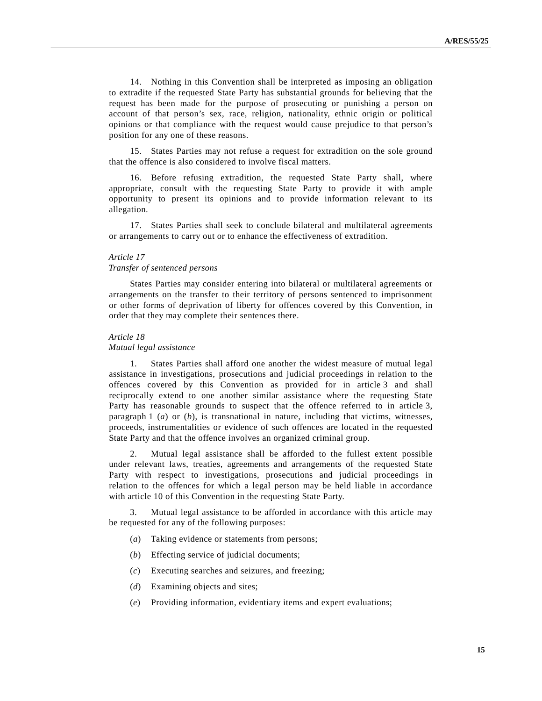14. Nothing in this Convention shall be interpreted as imposing an obligation to extradite if the requested State Party has substantial grounds for believing that the request has been made for the purpose of prosecuting or punishing a person on account of that person's sex, race, religion, nationality, ethnic origin or political opinions or that compliance with the request would cause prejudice to that person's position for any one of these reasons.

 15. States Parties may not refuse a request for extradition on the sole ground that the offence is also considered to involve fiscal matters.

 16. Before refusing extradition, the requested State Party shall, where appropriate, consult with the requesting State Party to provide it with ample opportunity to present its opinions and to provide information relevant to its allegation.

 17. States Parties shall seek to conclude bilateral and multilateral agreements or arrangements to carry out or to enhance the effectiveness of extradition.

#### *Article 17*

#### *Transfer of sentenced persons*

 States Parties may consider entering into bilateral or multilateral agreements or arrangements on the transfer to their territory of persons sentenced to imprisonment or other forms of deprivation of liberty for offences covered by this Convention, in order that they may complete their sentences there.

### *Article 18*

#### *Mutual legal assistance*

 1. States Parties shall afford one another the widest measure of mutual legal assistance in investigations, prosecutions and judicial proceedings in relation to the offences covered by this Convention as provided for in article 3 and shall reciprocally extend to one another similar assistance where the requesting State Party has reasonable grounds to suspect that the offence referred to in article 3, paragraph 1 (*a*) or (*b*), is transnational in nature, including that victims, witnesses, proceeds, instrumentalities or evidence of such offences are located in the requested State Party and that the offence involves an organized criminal group.

 2. Mutual legal assistance shall be afforded to the fullest extent possible under relevant laws, treaties, agreements and arrangements of the requested State Party with respect to investigations, prosecutions and judicial proceedings in relation to the offences for which a legal person may be held liable in accordance with article 10 of this Convention in the requesting State Party.

 3. Mutual legal assistance to be afforded in accordance with this article may be requested for any of the following purposes:

- (*a*) Taking evidence or statements from persons;
- (*b*) Effecting service of judicial documents;
- (*c*) Executing searches and seizures, and freezing;
- (*d*) Examining objects and sites;
- (*e*) Providing information, evidentiary items and expert evaluations;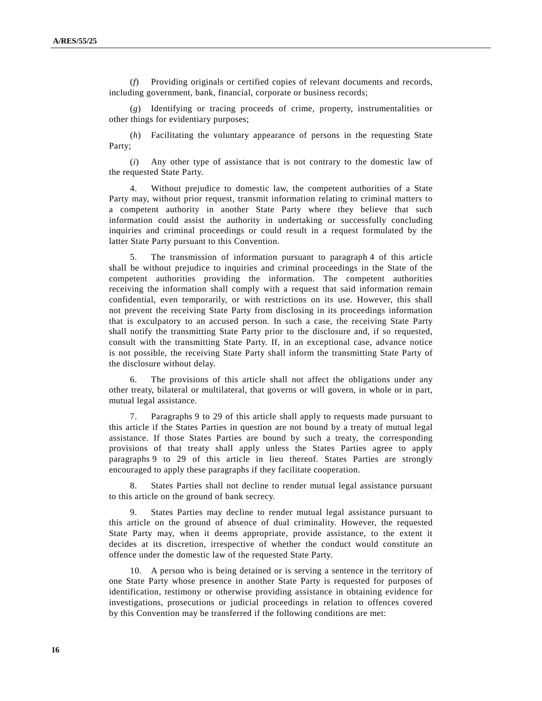(*f*) Providing originals or certified copies of relevant documents and records, including government, bank, financial, corporate or business records;

 (*g*) Identifying or tracing proceeds of crime, property, instrumentalities or other things for evidentiary purposes;

 (*h*) Facilitating the voluntary appearance of persons in the requesting State Party;

 (*i*) Any other type of assistance that is not contrary to the domestic law of the requested State Party.

 4. Without prejudice to domestic law, the competent authorities of a State Party may, without prior request, transmit information relating to criminal matters to a competent authority in another State Party where they believe that such information could assist the authority in undertaking or successfully concluding inquiries and criminal proceedings or could result in a request formulated by the latter State Party pursuant to this Convention.

 5. The transmission of information pursuant to paragraph 4 of this article shall be without prejudice to inquiries and criminal proceedings in the State of the competent authorities providing the information. The competent authorities receiving the information shall comply with a request that said information remain confidential, even temporarily, or with restrictions on its use. However, this shall not prevent the receiving State Party from disclosing in its proceedings information that is exculpatory to an accused person. In such a case, the receiving State Party shall notify the transmitting State Party prior to the disclosure and, if so requested, consult with the transmitting State Party. If, in an exceptional case, advance notice is not possible, the receiving State Party shall inform the transmitting State Party of the disclosure without delay.

 6. The provisions of this article shall not affect the obligations under any other treaty, bilateral or multilateral, that governs or will govern, in whole or in part, mutual legal assistance.

 7. Paragraphs 9 to 29 of this article shall apply to requests made pursuant to this article if the States Parties in question are not bound by a treaty of mutual legal assistance. If those States Parties are bound by such a treaty, the corresponding provisions of that treaty shall apply unless the States Parties agree to apply paragraphs 9 to 29 of this article in lieu thereof. States Parties are strongly encouraged to apply these paragraphs if they facilitate cooperation.

States Parties shall not decline to render mutual legal assistance pursuant to this article on the ground of bank secrecy.

 9. States Parties may decline to render mutual legal assistance pursuant to this article on the ground of absence of dual criminality. However, the requested State Party may, when it deems appropriate, provide assistance, to the extent it decides at its discretion, irrespective of whether the conduct would constitute an offence under the domestic law of the requested State Party.

 10. A person who is being detained or is serving a sentence in the territory of one State Party whose presence in another State Party is requested for purposes of identification, testimony or otherwise providing assistance in obtaining evidence for investigations, prosecutions or judicial proceedings in relation to offences covered by this Convention may be transferred if the following conditions are met: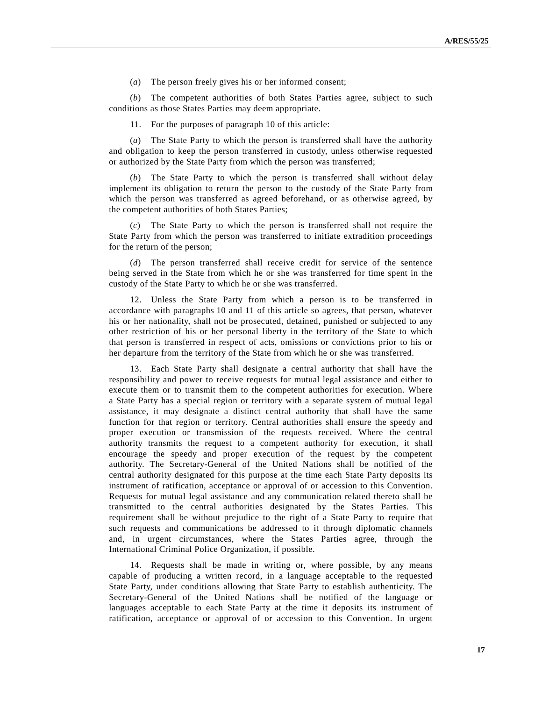(*a*) The person freely gives his or her informed consent;

 (*b*) The competent authorities of both States Parties agree, subject to such conditions as those States Parties may deem appropriate.

11. For the purposes of paragraph 10 of this article:

 (*a*) The State Party to which the person is transferred shall have the authority and obligation to keep the person transferred in custody, unless otherwise requested or authorized by the State Party from which the person was transferred;

 (*b*) The State Party to which the person is transferred shall without delay implement its obligation to return the person to the custody of the State Party from which the person was transferred as agreed beforehand, or as otherwise agreed, by the competent authorities of both States Parties;

 (*c*) The State Party to which the person is transferred shall not require the State Party from which the person was transferred to initiate extradition proceedings for the return of the person;

 (*d*) The person transferred shall receive credit for service of the sentence being served in the State from which he or she was transferred for time spent in the custody of the State Party to which he or she was transferred.

 12. Unless the State Party from which a person is to be transferred in accordance with paragraphs 10 and 11 of this article so agrees, that person, whatever his or her nationality, shall not be prosecuted, detained, punished or subjected to any other restriction of his or her personal liberty in the territory of the State to which that person is transferred in respect of acts, omissions or convictions prior to his or her departure from the territory of the State from which he or she was transferred.

 13. Each State Party shall designate a central authority that shall have the responsibility and power to receive requests for mutual legal assistance and either to execute them or to transmit them to the competent authorities for execution. Where a State Party has a special region or territory with a separate system of mutual legal assistance, it may designate a distinct central authority that shall have the same function for that region or territory. Central authorities shall ensure the speedy and proper execution or transmission of the requests received. Where the central authority transmits the request to a competent authority for execution, it shall encourage the speedy and proper execution of the request by the competent authority. The Secretary-General of the United Nations shall be notified of the central authority designated for this purpose at the time each State Party deposits its instrument of ratification, acceptance or approval of or accession to this Convention. Requests for mutual legal assistance and any communication related thereto shall be transmitted to the central authorities designated by the States Parties. This requirement shall be without prejudice to the right of a State Party to require that such requests and communications be addressed to it through diplomatic channels and, in urgent circumstances, where the States Parties agree, through the International Criminal Police Organization, if possible.

 14. Requests shall be made in writing or, where possible, by any means capable of producing a written record, in a language acceptable to the requested State Party, under conditions allowing that State Party to establish authenticity. The Secretary-General of the United Nations shall be notified of the language or languages acceptable to each State Party at the time it deposits its instrument of ratification, acceptance or approval of or accession to this Convention. In urgent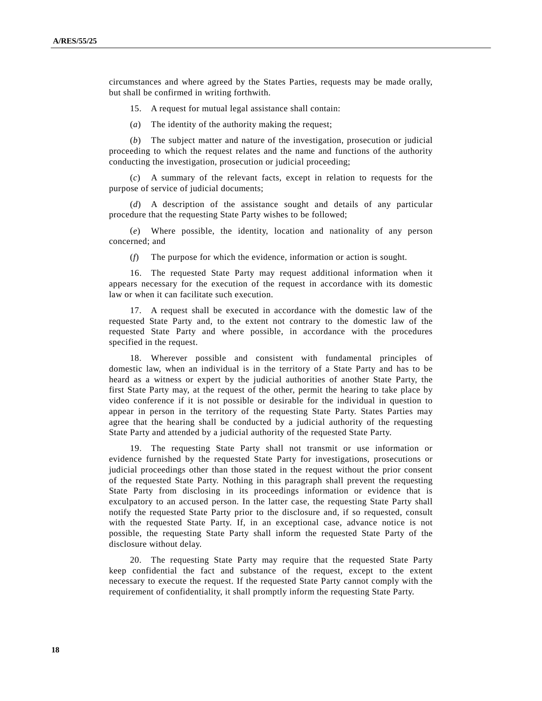circumstances and where agreed by the States Parties, requests may be made orally, but shall be confirmed in writing forthwith.

15. A request for mutual legal assistance shall contain:

(*a*) The identity of the authority making the request;

 (*b*) The subject matter and nature of the investigation, prosecution or judicial proceeding to which the request relates and the name and functions of the authority conducting the investigation, prosecution or judicial proceeding;

 (*c*) A summary of the relevant facts, except in relation to requests for the purpose of service of judicial documents;

 (*d*) A description of the assistance sought and details of any particular procedure that the requesting State Party wishes to be followed;

 (*e*) Where possible, the identity, location and nationality of any person concerned; and

(*f*) The purpose for which the evidence, information or action is sought.

 16. The requested State Party may request additional information when it appears necessary for the execution of the request in accordance with its domestic law or when it can facilitate such execution.

 17. A request shall be executed in accordance with the domestic law of the requested State Party and, to the extent not contrary to the domestic law of the requested State Party and where possible, in accordance with the procedures specified in the request.

 18. Wherever possible and consistent with fundamental principles of domestic law, when an individual is in the territory of a State Party and has to be heard as a witness or expert by the judicial authorities of another State Party, the first State Party may, at the request of the other, permit the hearing to take place by video conference if it is not possible or desirable for the individual in question to appear in person in the territory of the requesting State Party. States Parties may agree that the hearing shall be conducted by a judicial authority of the requesting State Party and attended by a judicial authority of the requested State Party.

 19. The requesting State Party shall not transmit or use information or evidence furnished by the requested State Party for investigations, prosecutions or judicial proceedings other than those stated in the request without the prior consent of the requested State Party. Nothing in this paragraph shall prevent the requesting State Party from disclosing in its proceedings information or evidence that is exculpatory to an accused person. In the latter case, the requesting State Party shall notify the requested State Party prior to the disclosure and, if so requested, consult with the requested State Party. If, in an exceptional case, advance notice is not possible, the requesting State Party shall inform the requested State Party of the disclosure without delay.

 20. The requesting State Party may require that the requested State Party keep confidential the fact and substance of the request, except to the extent necessary to execute the request. If the requested State Party cannot comply with the requirement of confidentiality, it shall promptly inform the requesting State Party.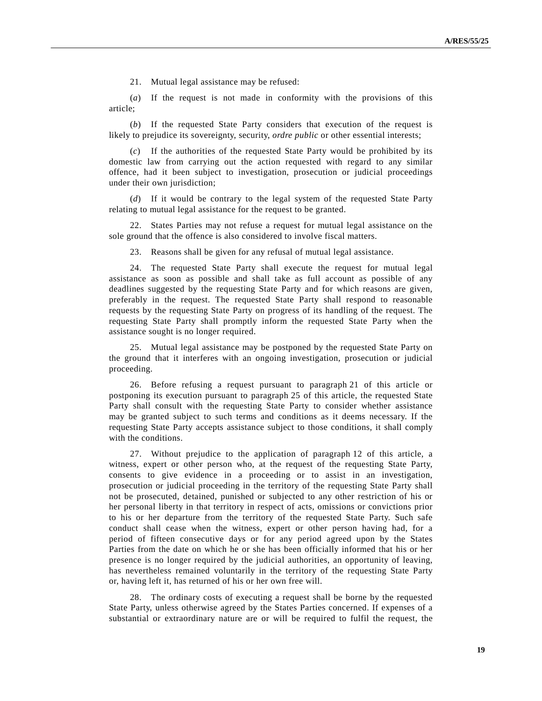21. Mutual legal assistance may be refused:

 (*a*) If the request is not made in conformity with the provisions of this article;

 (*b*) If the requested State Party considers that execution of the request is likely to prejudice its sovereignty, security, *ordre public* or other essential interests;

 (*c*) If the authorities of the requested State Party would be prohibited by its domestic law from carrying out the action requested with regard to any similar offence, had it been subject to investigation, prosecution or judicial proceedings under their own jurisdiction;

 (*d*) If it would be contrary to the legal system of the requested State Party relating to mutual legal assistance for the request to be granted.

 22. States Parties may not refuse a request for mutual legal assistance on the sole ground that the offence is also considered to involve fiscal matters.

23. Reasons shall be given for any refusal of mutual legal assistance.

 24. The requested State Party shall execute the request for mutual legal assistance as soon as possible and shall take as full account as possible of any deadlines suggested by the requesting State Party and for which reasons are given, preferably in the request. The requested State Party shall respond to reasonable requests by the requesting State Party on progress of its handling of the request. The requesting State Party shall promptly inform the requested State Party when the assistance sought is no longer required.

 25. Mutual legal assistance may be postponed by the requested State Party on the ground that it interferes with an ongoing investigation, prosecution or judicial proceeding.

 26. Before refusing a request pursuant to paragraph 21 of this article or postponing its execution pursuant to paragraph 25 of this article, the requested State Party shall consult with the requesting State Party to consider whether assistance may be granted subject to such terms and conditions as it deems necessary. If the requesting State Party accepts assistance subject to those conditions, it shall comply with the conditions.

 27. Without prejudice to the application of paragraph 12 of this article, a witness, expert or other person who, at the request of the requesting State Party, consents to give evidence in a proceeding or to assist in an investigation, prosecution or judicial proceeding in the territory of the requesting State Party shall not be prosecuted, detained, punished or subjected to any other restriction of his or her personal liberty in that territory in respect of acts, omissions or convictions prior to his or her departure from the territory of the requested State Party. Such safe conduct shall cease when the witness, expert or other person having had, for a period of fifteen consecutive days or for any period agreed upon by the States Parties from the date on which he or she has been officially informed that his or her presence is no longer required by the judicial authorities, an opportunity of leaving, has nevertheless remained voluntarily in the territory of the requesting State Party or, having left it, has returned of his or her own free will.

 28. The ordinary costs of executing a request shall be borne by the requested State Party, unless otherwise agreed by the States Parties concerned. If expenses of a substantial or extraordinary nature are or will be required to fulfil the request, the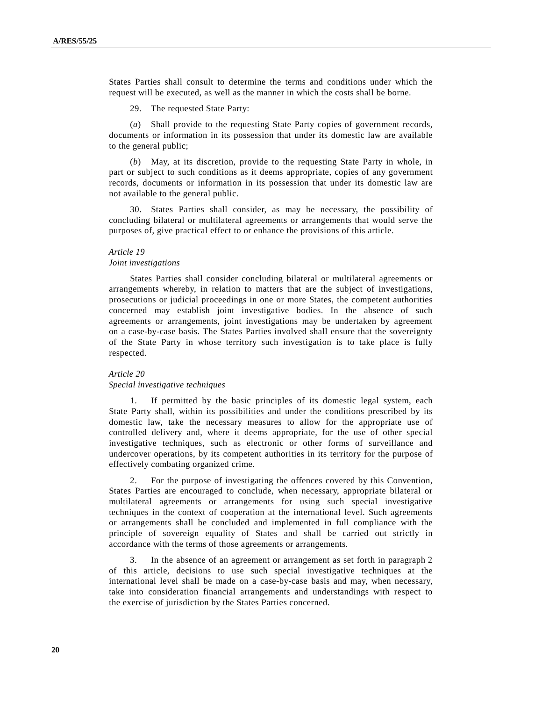States Parties shall consult to determine the terms and conditions under which the request will be executed, as well as the manner in which the costs shall be borne.

29. The requested State Party:

 (*a*) Shall provide to the requesting State Party copies of government records, documents or information in its possession that under its domestic law are available to the general public;

 (*b*) May, at its discretion, provide to the requesting State Party in whole, in part or subject to such conditions as it deems appropriate, copies of any government records, documents or information in its possession that under its domestic law are not available to the general public.

 30. States Parties shall consider, as may be necessary, the possibility of concluding bilateral or multilateral agreements or arrangements that would serve the purposes of, give practical effect to or enhance the provisions of this article.

# *Article 19*

# *Joint investigations*

 States Parties shall consider concluding bilateral or multilateral agreements or arrangements whereby, in relation to matters that are the subject of investigations, prosecutions or judicial proceedings in one or more States, the competent authorities concerned may establish joint investigative bodies. In the absence of such agreements or arrangements, joint investigations may be undertaken by agreement on a case-by-case basis. The States Parties involved shall ensure that the sovereignty of the State Party in whose territory such investigation is to take place is fully respected.

#### *Article 20*

# *Special investigative techniques*

 1. If permitted by the basic principles of its domestic legal system, each State Party shall, within its possibilities and under the conditions prescribed by its domestic law, take the necessary measures to allow for the appropriate use of controlled delivery and, where it deems appropriate, for the use of other special investigative techniques, such as electronic or other forms of surveillance and undercover operations, by its competent authorities in its territory for the purpose of effectively combating organized crime.

 2. For the purpose of investigating the offences covered by this Convention, States Parties are encouraged to conclude, when necessary, appropriate bilateral or multilateral agreements or arrangements for using such special investigative techniques in the context of cooperation at the international level. Such agreements or arrangements shall be concluded and implemented in full compliance with the principle of sovereign equality of States and shall be carried out strictly in accordance with the terms of those agreements or arrangements.

 3. In the absence of an agreement or arrangement as set forth in paragraph 2 of this article, decisions to use such special investigative techniques at the international level shall be made on a case-by-case basis and may, when necessary, take into consideration financial arrangements and understandings with respect to the exercise of jurisdiction by the States Parties concerned.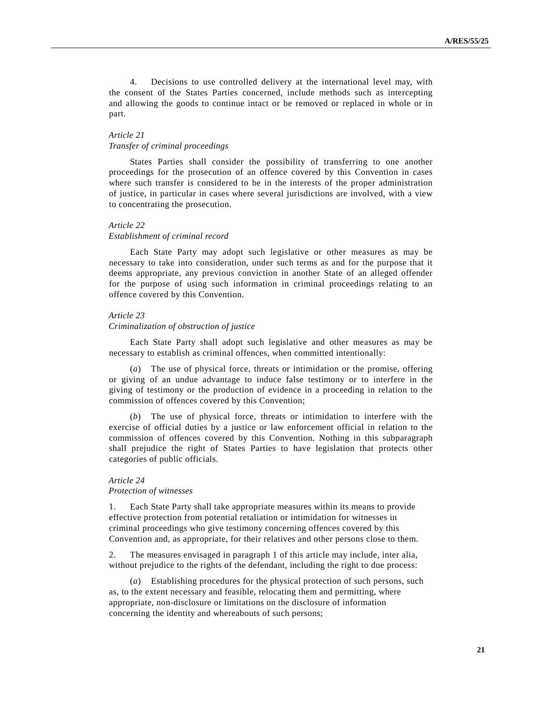4. Decisions to use controlled delivery at the international level may, with the consent of the States Parties concerned, include methods such as intercepting and allowing the goods to continue intact or be removed or replaced in whole or in part.

# *Article 21*

# *Transfer of criminal proceedings*

 States Parties shall consider the possibility of transferring to one another proceedings for the prosecution of an offence covered by this Convention in cases where such transfer is considered to be in the interests of the proper administration of justice, in particular in cases where several jurisdictions are involved, with a view to concentrating the prosecution.

#### *Article 22*

#### *Establishment of criminal record*

 Each State Party may adopt such legislative or other measures as may be necessary to take into consideration, under such terms as and for the purpose that it deems appropriate, any previous conviction in another State of an alleged offender for the purpose of using such information in criminal proceedings relating to an offence covered by this Convention.

## *Article 23*

#### *Criminalization of obstruction of justice*

 Each State Party shall adopt such legislative and other measures as may be necessary to establish as criminal offences, when committed intentionally:

 (*a*) The use of physical force, threats or intimidation or the promise, offering or giving of an undue advantage to induce false testimony or to interfere in the giving of testimony or the production of evidence in a proceeding in relation to the commission of offences covered by this Convention;

 (*b*) The use of physical force, threats or intimidation to interfere with the exercise of official duties by a justice or law enforcement official in relation to the commission of offences covered by this Convention. Nothing in this subparagraph shall prejudice the right of States Parties to have legislation that protects other categories of public officials.

# *Article 24 Protection of witnesses*

 1. Each State Party shall take appropriate measures within its means to provide effective protection from potential retaliation or intimidation for witnesses in criminal proceedings who give testimony concerning offences covered by this Convention and, as appropriate, for their relatives and other persons close to them.

 2. The measures envisaged in paragraph 1 of this article may include, inter alia, without prejudice to the rights of the defendant, including the right to due process:

 (*a*) Establishing procedures for the physical protection of such persons, such as, to the extent necessary and feasible, relocating them and permitting, where appropriate, non-disclosure or limitations on the disclosure of information concerning the identity and whereabouts of such persons;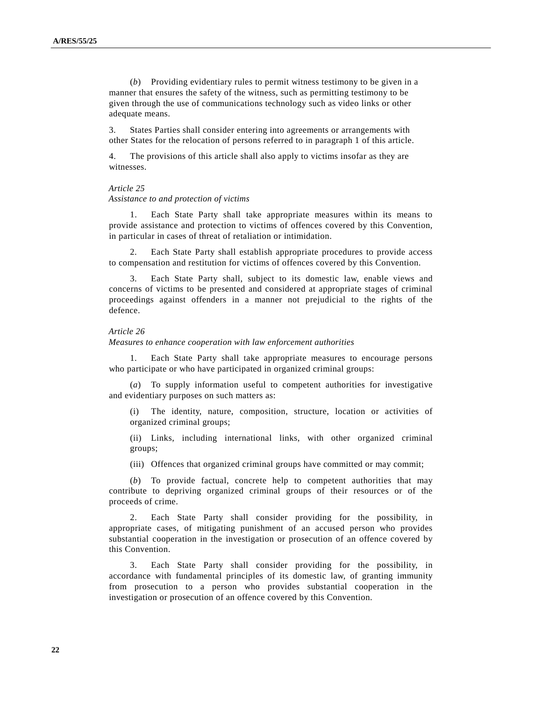(*b*) Providing evidentiary rules to permit witness testimony to be given in a manner that ensures the safety of the witness, such as permitting testimony to be given through the use of communications technology such as video links or other adequate means.

 3. States Parties shall consider entering into agreements or arrangements with other States for the relocation of persons referred to in paragraph 1 of this article.

 4. The provisions of this article shall also apply to victims insofar as they are witnesses.

#### *Article 25*

#### *Assistance to and protection of victims*

 1. Each State Party shall take appropriate measures within its means to provide assistance and protection to victims of offences covered by this Convention, in particular in cases of threat of retaliation or intimidation.

 2. Each State Party shall establish appropriate procedures to provide access to compensation and restitution for victims of offences covered by this Convention.

 3. Each State Party shall, subject to its domestic law, enable views and concerns of victims to be presented and considered at appropriate stages of criminal proceedings against offenders in a manner not prejudicial to the rights of the defence.

#### *Article 26*

#### *Measures to enhance cooperation with law enforcement authorities*

 1. Each State Party shall take appropriate measures to encourage persons who participate or who have participated in organized criminal groups:

 (*a*) To supply information useful to competent authorities for investigative and evidentiary purposes on such matters as:

 (i) The identity, nature, composition, structure, location or activities of organized criminal groups;

 (ii) Links, including international links, with other organized criminal groups;

(iii) Offences that organized criminal groups have committed or may commit;

 (*b*) To provide factual, concrete help to competent authorities that may contribute to depriving organized criminal groups of their resources or of the proceeds of crime.

 2. Each State Party shall consider providing for the possibility, in appropriate cases, of mitigating punishment of an accused person who provides substantial cooperation in the investigation or prosecution of an offence covered by this Convention.

 3. Each State Party shall consider providing for the possibility, in accordance with fundamental principles of its domestic law, of granting immunity from prosecution to a person who provides substantial cooperation in the investigation or prosecution of an offence covered by this Convention.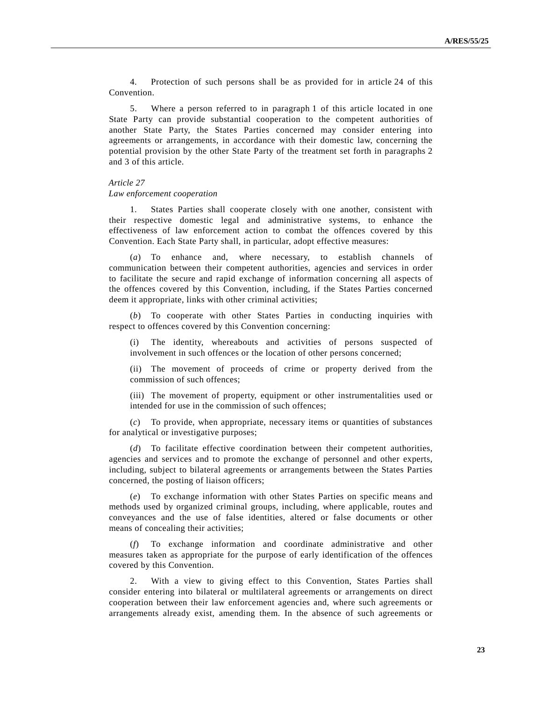4. Protection of such persons shall be as provided for in article 24 of this Convention.

 5. Where a person referred to in paragraph 1 of this article located in one State Party can provide substantial cooperation to the competent authorities of another State Party, the States Parties concerned may consider entering into agreements or arrangements, in accordance with their domestic law, concerning the potential provision by the other State Party of the treatment set forth in paragraphs 2 and 3 of this article.

#### *Article 27*

#### *Law enforcement cooperation*

 1. States Parties shall cooperate closely with one another, consistent with their respective domestic legal and administrative systems, to enhance the effectiveness of law enforcement action to combat the offences covered by this Convention. Each State Party shall, in particular, adopt effective measures:

 (*a*) To enhance and, where necessary, to establish channels of communication between their competent authorities, agencies and services in order to facilitate the secure and rapid exchange of information concerning all aspects of the offences covered by this Convention, including, if the States Parties concerned deem it appropriate, links with other criminal activities;

 (*b*) To cooperate with other States Parties in conducting inquiries with respect to offences covered by this Convention concerning:

 (i) The identity, whereabouts and activities of persons suspected of involvement in such offences or the location of other persons concerned;

 (ii) The movement of proceeds of crime or property derived from the commission of such offences;

 (iii) The movement of property, equipment or other instrumentalities used or intended for use in the commission of such offences;

 (*c*) To provide, when appropriate, necessary items or quantities of substances for analytical or investigative purposes;

 (*d*) To facilitate effective coordination between their competent authorities, agencies and services and to promote the exchange of personnel and other experts, including, subject to bilateral agreements or arrangements between the States Parties concerned, the posting of liaison officers;

 (*e*) To exchange information with other States Parties on specific means and methods used by organized criminal groups, including, where applicable, routes and conveyances and the use of false identities, altered or false documents or other means of concealing their activities;

 (*f*) To exchange information and coordinate administrative and other measures taken as appropriate for the purpose of early identification of the offences covered by this Convention.

 2. With a view to giving effect to this Convention, States Parties shall consider entering into bilateral or multilateral agreements or arrangements on direct cooperation between their law enforcement agencies and, where such agreements or arrangements already exist, amending them. In the absence of such agreements or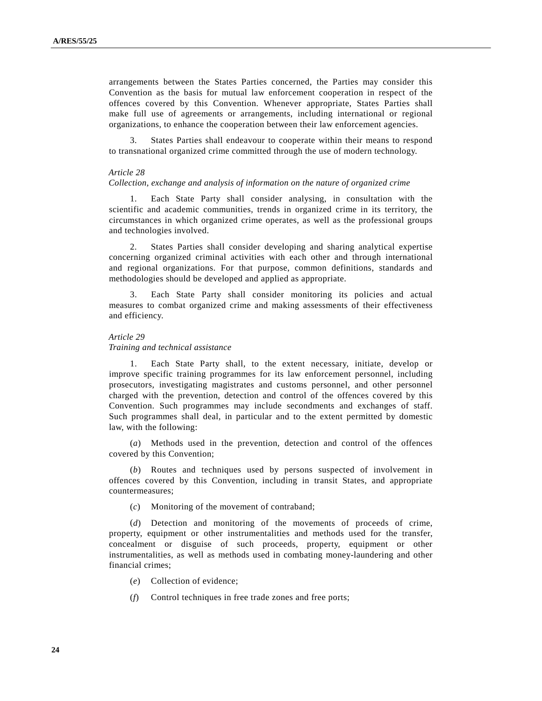arrangements between the States Parties concerned, the Parties may consider this Convention as the basis for mutual law enforcement cooperation in respect of the offences covered by this Convention. Whenever appropriate, States Parties shall make full use of agreements or arrangements, including international or regional organizations, to enhance the cooperation between their law enforcement agencies.

 3. States Parties shall endeavour to cooperate within their means to respond to transnational organized crime committed through the use of modern technology.

#### *Article 28*

#### *Collection, exchange and analysis of information on the nature of organized crime*

 1. Each State Party shall consider analysing, in consultation with the scientific and academic communities, trends in organized crime in its territory, the circumstances in which organized crime operates, as well as the professional groups and technologies involved.

 2. States Parties shall consider developing and sharing analytical expertise concerning organized criminal activities with each other and through international and regional organizations. For that purpose, common definitions, standards and methodologies should be developed and applied as appropriate.

 3. Each State Party shall consider monitoring its policies and actual measures to combat organized crime and making assessments of their effectiveness and efficiency.

# *Article 29*

#### *Training and technical assistance*

 1. Each State Party shall, to the extent necessary, initiate, develop or improve specific training programmes for its law enforcement personnel, including prosecutors, investigating magistrates and customs personnel, and other personnel charged with the prevention, detection and control of the offences covered by this Convention. Such programmes may include secondments and exchanges of staff. Such programmes shall deal, in particular and to the extent permitted by domestic law, with the following:

 (*a*) Methods used in the prevention, detection and control of the offences covered by this Convention;

 (*b*) Routes and techniques used by persons suspected of involvement in offences covered by this Convention, including in transit States, and appropriate countermeasures;

(*c*) Monitoring of the movement of contraband;

 (*d*) Detection and monitoring of the movements of proceeds of crime, property, equipment or other instrumentalities and methods used for the transfer, concealment or disguise of such proceeds, property, equipment or other instrumentalities, as well as methods used in combating money-laundering and other financial crimes;

- (*e*) Collection of evidence;
- (*f*) Control techniques in free trade zones and free ports;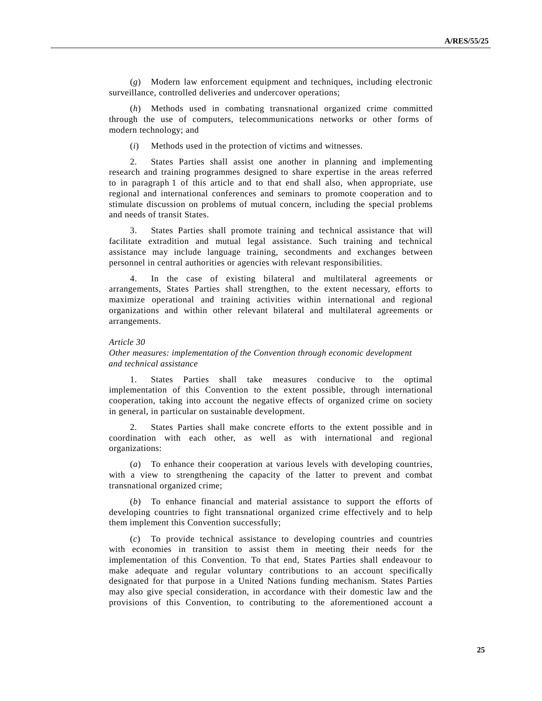(*g*) Modern law enforcement equipment and techniques, including electronic surveillance, controlled deliveries and undercover operations;

 (*h*) Methods used in combating transnational organized crime committed through the use of computers, telecommunications networks or other forms of modern technology; and

(*i*) Methods used in the protection of victims and witnesses.

 2. States Parties shall assist one another in planning and implementing research and training programmes designed to share expertise in the areas referred to in paragraph 1 of this article and to that end shall also, when appropriate, use regional and international conferences and seminars to promote cooperation and to stimulate discussion on problems of mutual concern, including the special problems and needs of transit States.

 3. States Parties shall promote training and technical assistance that will facilitate extradition and mutual legal assistance. Such training and technical assistance may include language training, secondments and exchanges between personnel in central authorities or agencies with relevant responsibilities.

In the case of existing bilateral and multilateral agreements or arrangements, States Parties shall strengthen, to the extent necessary, efforts to maximize operational and training activities within international and regional organizations and within other relevant bilateral and multilateral agreements or arrangements.

#### *Article 30*

# *Other measures: implementation of the Convention through economic development and technical assistance*

 1. States Parties shall take measures conducive to the optimal implementation of this Convention to the extent possible, through international cooperation, taking into account the negative effects of organized crime on society in general, in particular on sustainable development.

 2. States Parties shall make concrete efforts to the extent possible and in coordination with each other, as well as with international and regional organizations:

 (*a*) To enhance their cooperation at various levels with developing countries, with a view to strengthening the capacity of the latter to prevent and combat transnational organized crime;

 (*b*) To enhance financial and material assistance to support the efforts of developing countries to fight transnational organized crime effectively and to help them implement this Convention successfully;

 (*c*) To provide technical assistance to developing countries and countries with economies in transition to assist them in meeting their needs for the implementation of this Convention. To that end, States Parties shall endeavour to make adequate and regular voluntary contributions to an account specifically designated for that purpose in a United Nations funding mechanism. States Parties may also give special consideration, in accordance with their domestic law and the provisions of this Convention, to contributing to the aforementioned account a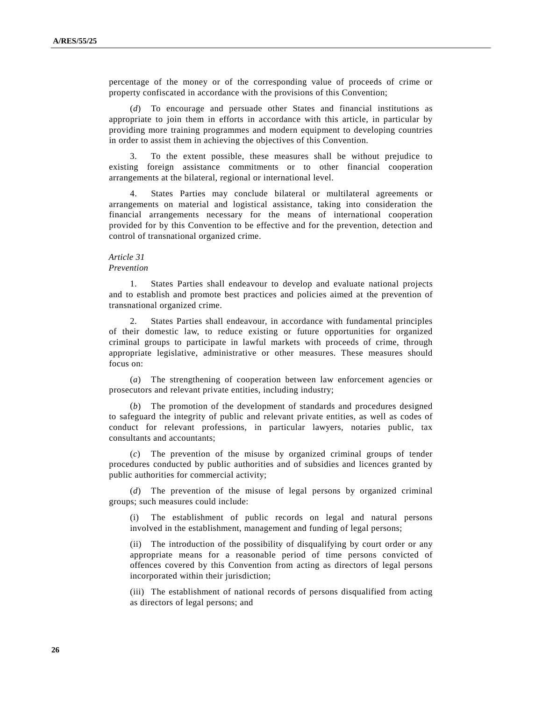percentage of the money or of the corresponding value of proceeds of crime or property confiscated in accordance with the provisions of this Convention;

 (*d*) To encourage and persuade other States and financial institutions as appropriate to join them in efforts in accordance with this article, in particular by providing more training programmes and modern equipment to developing countries in order to assist them in achieving the objectives of this Convention.

 3. To the extent possible, these measures shall be without prejudice to existing foreign assistance commitments or to other financial cooperation arrangements at the bilateral, regional or international level.

 4. States Parties may conclude bilateral or multilateral agreements or arrangements on material and logistical assistance, taking into consideration the financial arrangements necessary for the means of international cooperation provided for by this Convention to be effective and for the prevention, detection and control of transnational organized crime.

# *Article 31*

# *Prevention*

 1. States Parties shall endeavour to develop and evaluate national projects and to establish and promote best practices and policies aimed at the prevention of transnational organized crime.

 2. States Parties shall endeavour, in accordance with fundamental principles of their domestic law, to reduce existing or future opportunities for organized criminal groups to participate in lawful markets with proceeds of crime, through appropriate legislative, administrative or other measures. These measures should focus on:

 (*a*) The strengthening of cooperation between law enforcement agencies or prosecutors and relevant private entities, including industry;

 (*b*) The promotion of the development of standards and procedures designed to safeguard the integrity of public and relevant private entities, as well as codes of conduct for relevant professions, in particular lawyers, notaries public, tax consultants and accountants;

 (*c*) The prevention of the misuse by organized criminal groups of tender procedures conducted by public authorities and of subsidies and licences granted by public authorities for commercial activity;

 (*d*) The prevention of the misuse of legal persons by organized criminal groups; such measures could include:

 (i) The establishment of public records on legal and natural persons involved in the establishment, management and funding of legal persons;

 (ii) The introduction of the possibility of disqualifying by court order or any appropriate means for a reasonable period of time persons convicted of offences covered by this Convention from acting as directors of legal persons incorporated within their jurisdiction;

 (iii) The establishment of national records of persons disqualified from acting as directors of legal persons; and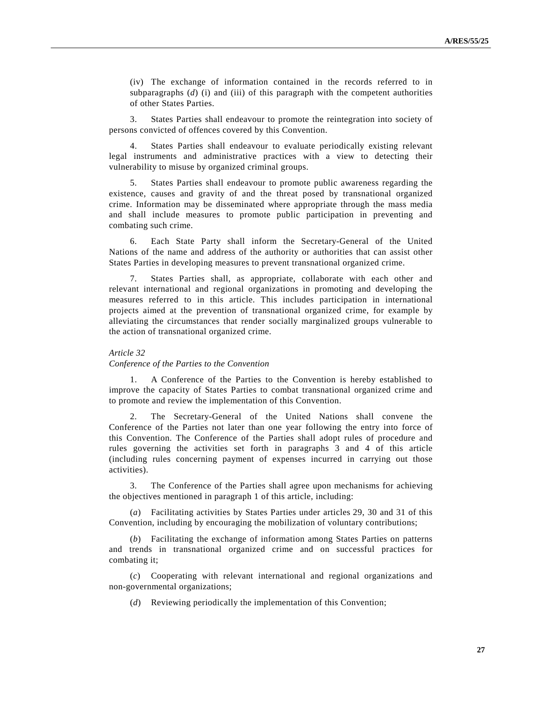(iv) The exchange of information contained in the records referred to in subparagraphs  $(d)$  (i) and (iii) of this paragraph with the competent authorities of other States Parties.

 3. States Parties shall endeavour to promote the reintegration into society of persons convicted of offences covered by this Convention.

 4. States Parties shall endeavour to evaluate periodically existing relevant legal instruments and administrative practices with a view to detecting their vulnerability to misuse by organized criminal groups.

 5. States Parties shall endeavour to promote public awareness regarding the existence, causes and gravity of and the threat posed by transnational organized crime. Information may be disseminated where appropriate through the mass media and shall include measures to promote public participation in preventing and combating such crime.

 6. Each State Party shall inform the Secretary-General of the United Nations of the name and address of the authority or authorities that can assist other States Parties in developing measures to prevent transnational organized crime.

 7. States Parties shall, as appropriate, collaborate with each other and relevant international and regional organizations in promoting and developing the measures referred to in this article. This includes participation in international projects aimed at the prevention of transnational organized crime, for example by alleviating the circumstances that render socially marginalized groups vulnerable to the action of transnational organized crime.

#### *Article 32*

# *Conference of the Parties to the Convention*

 1. A Conference of the Parties to the Convention is hereby established to improve the capacity of States Parties to combat transnational organized crime and to promote and review the implementation of this Convention.

 2. The Secretary-General of the United Nations shall convene the Conference of the Parties not later than one year following the entry into force of this Convention. The Conference of the Parties shall adopt rules of procedure and rules governing the activities set forth in paragraphs 3 and 4 of this article (including rules concerning payment of expenses incurred in carrying out those activities).

 3. The Conference of the Parties shall agree upon mechanisms for achieving the objectives mentioned in paragraph 1 of this article, including:

 (*a*) Facilitating activities by States Parties under articles 29, 30 and 31 of this Convention, including by encouraging the mobilization of voluntary contributions;

 (*b*) Facilitating the exchange of information among States Parties on patterns and trends in transnational organized crime and on successful practices for combating it;

 (*c*) Cooperating with relevant international and regional organizations and non-governmental organizations;

(*d*) Reviewing periodically the implementation of this Convention;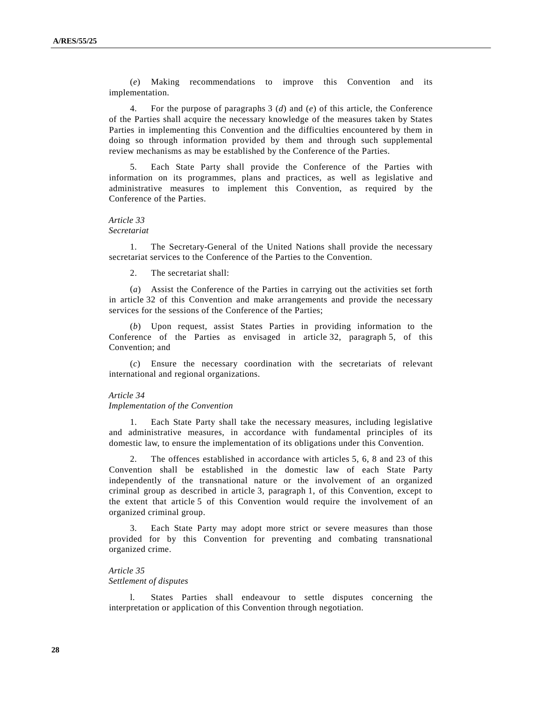(*e*) Making recommendations to improve this Convention and its implementation.

 4. For the purpose of paragraphs 3 (*d*) and (*e*) of this article, the Conference of the Parties shall acquire the necessary knowledge of the measures taken by States Parties in implementing this Convention and the difficulties encountered by them in doing so through information provided by them and through such supplemental review mechanisms as may be established by the Conference of the Parties.

 5. Each State Party shall provide the Conference of the Parties with information on its programmes, plans and practices, as well as legislative and administrative measures to implement this Convention, as required by the Conference of the Parties.

## *Article 33 Secretariat*

 1. The Secretary-General of the United Nations shall provide the necessary secretariat services to the Conference of the Parties to the Convention.

2. The secretariat shall:

 (*a*) Assist the Conference of the Parties in carrying out the activities set forth in article 32 of this Convention and make arrangements and provide the necessary services for the sessions of the Conference of the Parties;

 (*b*) Upon request, assist States Parties in providing information to the Conference of the Parties as envisaged in article 32, paragraph 5, of this Convention; and

 (*c*) Ensure the necessary coordination with the secretariats of relevant international and regional organizations.

# *Article 34*

*Implementation of the Convention* 

 1. Each State Party shall take the necessary measures, including legislative and administrative measures, in accordance with fundamental principles of its domestic law, to ensure the implementation of its obligations under this Convention.

 2. The offences established in accordance with articles 5, 6, 8 and 23 of this Convention shall be established in the domestic law of each State Party independently of the transnational nature or the involvement of an organized criminal group as described in article 3, paragraph 1, of this Convention, except to the extent that article 5 of this Convention would require the involvement of an organized criminal group.

 3. Each State Party may adopt more strict or severe measures than those provided for by this Convention for preventing and combating transnational organized crime.

# *Article 35 Settlement of disputes*

 l. States Parties shall endeavour to settle disputes concerning the interpretation or application of this Convention through negotiation.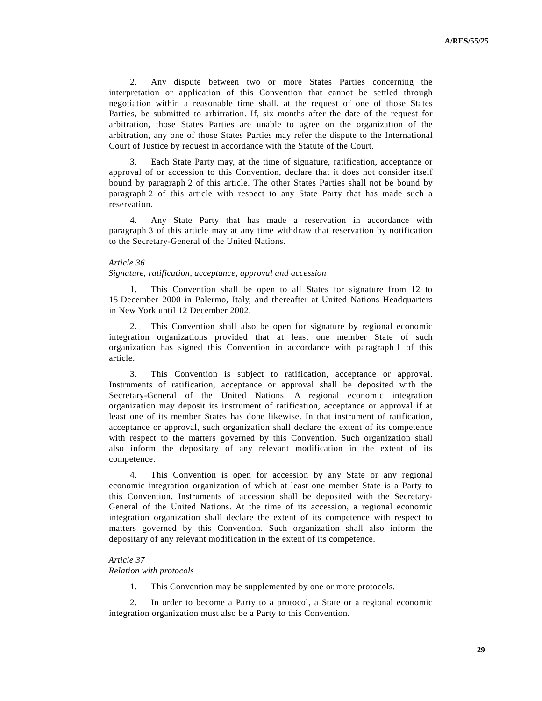2. Any dispute between two or more States Parties concerning the interpretation or application of this Convention that cannot be settled through negotiation within a reasonable time shall, at the request of one of those States Parties, be submitted to arbitration. If, six months after the date of the request for arbitration, those States Parties are unable to agree on the organization of the arbitration, any one of those States Parties may refer the dispute to the International Court of Justice by request in accordance with the Statute of the Court.

 3. Each State Party may, at the time of signature, ratification, acceptance or approval of or accession to this Convention, declare that it does not consider itself bound by paragraph 2 of this article. The other States Parties shall not be bound by paragraph 2 of this article with respect to any State Party that has made such a reservation.

 4. Any State Party that has made a reservation in accordance with paragraph 3 of this article may at any time withdraw that reservation by notification to the Secretary-General of the United Nations.

# *Article 36*

#### *Signature, ratification, acceptance, approval and accession*

 1. This Convention shall be open to all States for signature from 12 to 15 December 2000 in Palermo, Italy, and thereafter at United Nations Headquarters in New York until 12 December 2002.

 2. This Convention shall also be open for signature by regional economic integration organizations provided that at least one member State of such organization has signed this Convention in accordance with paragraph 1 of this article.

 3. This Convention is subject to ratification, acceptance or approval. Instruments of ratification, acceptance or approval shall be deposited with the Secretary-General of the United Nations. A regional economic integration organization may deposit its instrument of ratification, acceptance or approval if at least one of its member States has done likewise. In that instrument of ratification, acceptance or approval, such organization shall declare the extent of its competence with respect to the matters governed by this Convention. Such organization shall also inform the depositary of any relevant modification in the extent of its competence.

 4. This Convention is open for accession by any State or any regional economic integration organization of which at least one member State is a Party to this Convention. Instruments of accession shall be deposited with the Secretary-General of the United Nations. At the time of its accession, a regional economic integration organization shall declare the extent of its competence with respect to matters governed by this Convention. Such organization shall also inform the depositary of any relevant modification in the extent of its competence.

#### *Article 37*

#### *Relation with protocols*

1. This Convention may be supplemented by one or more protocols.

 2. In order to become a Party to a protocol, a State or a regional economic integration organization must also be a Party to this Convention.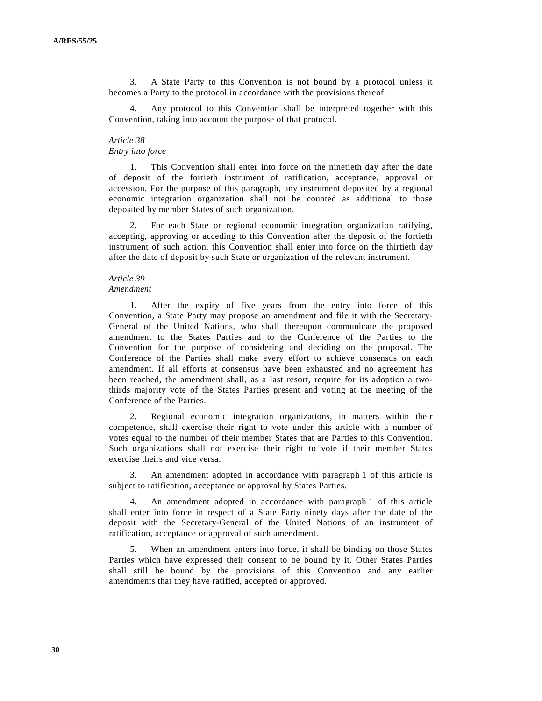3. A State Party to this Convention is not bound by a protocol unless it becomes a Party to the protocol in accordance with the provisions thereof.

 4. Any protocol to this Convention shall be interpreted together with this Convention, taking into account the purpose of that protocol.

# *Article 38 Entry into force*

 1. This Convention shall enter into force on the ninetieth day after the date of deposit of the fortieth instrument of ratification, acceptance, approval or accession. For the purpose of this paragraph, any instrument deposited by a regional economic integration organization shall not be counted as additional to those deposited by member States of such organization.

 2. For each State or regional economic integration organization ratifying, accepting, approving or acceding to this Convention after the deposit of the fortieth instrument of such action, this Convention shall enter into force on the thirtieth day after the date of deposit by such State or organization of the relevant instrument.

# *Article 39*

# *Amendment*

 1. After the expiry of five years from the entry into force of this Convention, a State Party may propose an amendment and file it with the Secretary-General of the United Nations, who shall thereupon communicate the proposed amendment to the States Parties and to the Conference of the Parties to the Convention for the purpose of considering and deciding on the proposal. The Conference of the Parties shall make every effort to achieve consensus on each amendment. If all efforts at consensus have been exhausted and no agreement has been reached, the amendment shall, as a last resort, require for its adoption a twothirds majority vote of the States Parties present and voting at the meeting of the Conference of the Parties.

 2. Regional economic integration organizations, in matters within their competence, shall exercise their right to vote under this article with a number of votes equal to the number of their member States that are Parties to this Convention. Such organizations shall not exercise their right to vote if their member States exercise theirs and vice versa.

 3. An amendment adopted in accordance with paragraph 1 of this article is subject to ratification, acceptance or approval by States Parties.

 4. An amendment adopted in accordance with paragraph 1 of this article shall enter into force in respect of a State Party ninety days after the date of the deposit with the Secretary-General of the United Nations of an instrument of ratification, acceptance or approval of such amendment.

 5. When an amendment enters into force, it shall be binding on those States Parties which have expressed their consent to be bound by it. Other States Parties shall still be bound by the provisions of this Convention and any earlier amendments that they have ratified, accepted or approved.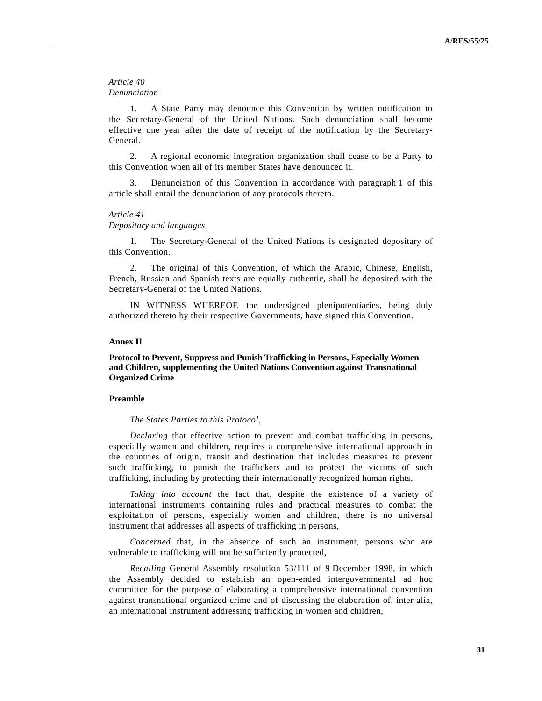# *Article 40 Denunciation*

 1. A State Party may denounce this Convention by written notification to the Secretary-General of the United Nations. Such denunciation shall become effective one year after the date of receipt of the notification by the Secretary-General.

 2. A regional economic integration organization shall cease to be a Party to this Convention when all of its member States have denounced it.

 3. Denunciation of this Convention in accordance with paragraph 1 of this article shall entail the denunciation of any protocols thereto.

#### *Article 41*

*Depositary and languages* 

 1. The Secretary-General of the United Nations is designated depositary of this Convention.

 2. The original of this Convention, of which the Arabic, Chinese, English, French, Russian and Spanish texts are equally authentic, shall be deposited with the Secretary-General of the United Nations.

 IN WITNESS WHEREOF, the undersigned plenipotentiaries, being duly authorized thereto by their respective Governments, have signed this Convention.

# **Annex II**

**Protocol to Prevent, Suppress and Punish Trafficking in Persons, Especially Women and Children, supplementing the United Nations Convention against Transnational Organized Crime** 

# **Preamble**

## *The States Parties to this Protocol*,

*Declaring* that effective action to prevent and combat trafficking in persons, especially women and children, requires a comprehensive international approach in the countries of origin, transit and destination that includes measures to prevent such trafficking, to punish the traffickers and to protect the victims of such trafficking, including by protecting their internationally recognized human rights,

*Taking into account* the fact that, despite the existence of a variety of international instruments containing rules and practical measures to combat the exploitation of persons, especially women and children, there is no universal instrument that addresses all aspects of trafficking in persons,

*Concerned* that, in the absence of such an instrument, persons who are vulnerable to trafficking will not be sufficiently protected,

*Recalling* General Assembly resolution 53/111 of 9 December 1998, in which the Assembly decided to establish an open-ended intergovernmental ad hoc committee for the purpose of elaborating a comprehensive international convention against transnational organized crime and of discussing the elaboration of, inter alia, an international instrument addressing trafficking in women and children,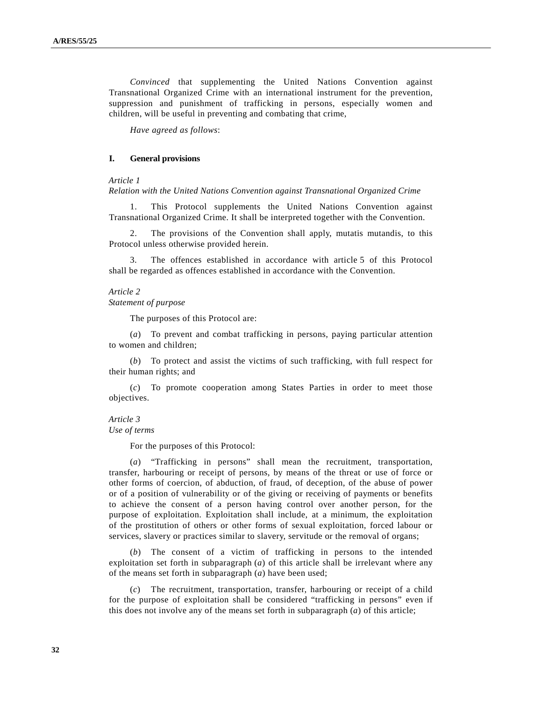*Convinced* that supplementing the United Nations Convention against Transnational Organized Crime with an international instrument for the prevention, suppression and punishment of trafficking in persons, especially women and children, will be useful in preventing and combating that crime,

*Have agreed as follows*:

#### **I. General provisions**

## *Article 1*

*Relation with the United Nations Convention against Transnational Organized Crime* 

 1. This Protocol supplements the United Nations Convention against Transnational Organized Crime. It shall be interpreted together with the Convention.

The provisions of the Convention shall apply, mutatis mutandis, to this Protocol unless otherwise provided herein.

 3. The offences established in accordance with article 5 of this Protocol shall be regarded as offences established in accordance with the Convention.

#### *Article 2*

*Statement of purpose* 

The purposes of this Protocol are:

 (*a*) To prevent and combat trafficking in persons, paying particular attention to women and children;

 (*b*) To protect and assist the victims of such trafficking, with full respect for their human rights; and

 (*c*) To promote cooperation among States Parties in order to meet those objectives.

# *Article 3 Use of terms*

For the purposes of this Protocol:

 (*a*) "Trafficking in persons" shall mean the recruitment, transportation, transfer, harbouring or receipt of persons, by means of the threat or use of force or other forms of coercion, of abduction, of fraud, of deception, of the abuse of power or of a position of vulnerability or of the giving or receiving of payments or benefits to achieve the consent of a person having control over another person, for the purpose of exploitation. Exploitation shall include, at a minimum, the exploitation of the prostitution of others or other forms of sexual exploitation, forced labour or services, slavery or practices similar to slavery, servitude or the removal of organs;

 (*b*) The consent of a victim of trafficking in persons to the intended exploitation set forth in subparagraph (*a*) of this article shall be irrelevant where any of the means set forth in subparagraph (*a*) have been used;

 (*c*) The recruitment, transportation, transfer, harbouring or receipt of a child for the purpose of exploitation shall be considered "trafficking in persons" even if this does not involve any of the means set forth in subparagraph (*a*) of this article;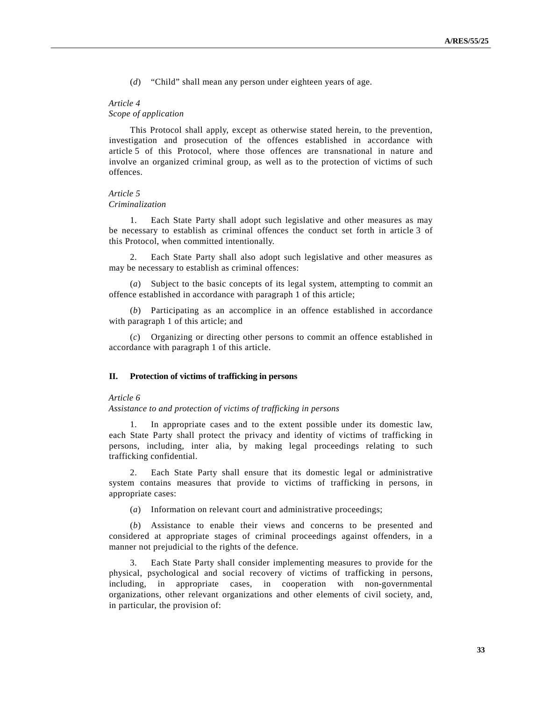(*d*) "Child" shall mean any person under eighteen years of age.

# *Article 4*

*Scope of application* 

 This Protocol shall apply, except as otherwise stated herein, to the prevention, investigation and prosecution of the offences established in accordance with article 5 of this Protocol, where those offences are transnational in nature and involve an organized criminal group, as well as to the protection of victims of such offences.

# *Article 5*

*Criminalization* 

 1. Each State Party shall adopt such legislative and other measures as may be necessary to establish as criminal offences the conduct set forth in article 3 of this Protocol, when committed intentionally.

 2. Each State Party shall also adopt such legislative and other measures as may be necessary to establish as criminal offences:

 (*a*) Subject to the basic concepts of its legal system, attempting to commit an offence established in accordance with paragraph 1 of this article;

 (*b*) Participating as an accomplice in an offence established in accordance with paragraph 1 of this article; and

 (*c*) Organizing or directing other persons to commit an offence established in accordance with paragraph 1 of this article.

## **II. Protection of victims of trafficking in persons**

#### *Article 6*

*Assistance to and protection of victims of trafficking in persons* 

 1. In appropriate cases and to the extent possible under its domestic law, each State Party shall protect the privacy and identity of victims of trafficking in persons, including, inter alia, by making legal proceedings relating to such trafficking confidential.

 2. Each State Party shall ensure that its domestic legal or administrative system contains measures that provide to victims of trafficking in persons, in appropriate cases:

(*a*) Information on relevant court and administrative proceedings;

 (*b*) Assistance to enable their views and concerns to be presented and considered at appropriate stages of criminal proceedings against offenders, in a manner not prejudicial to the rights of the defence.

 3. Each State Party shall consider implementing measures to provide for the physical, psychological and social recovery of victims of trafficking in persons, including, in appropriate cases, in cooperation with non-governmental organizations, other relevant organizations and other elements of civil society, and, in particular, the provision of: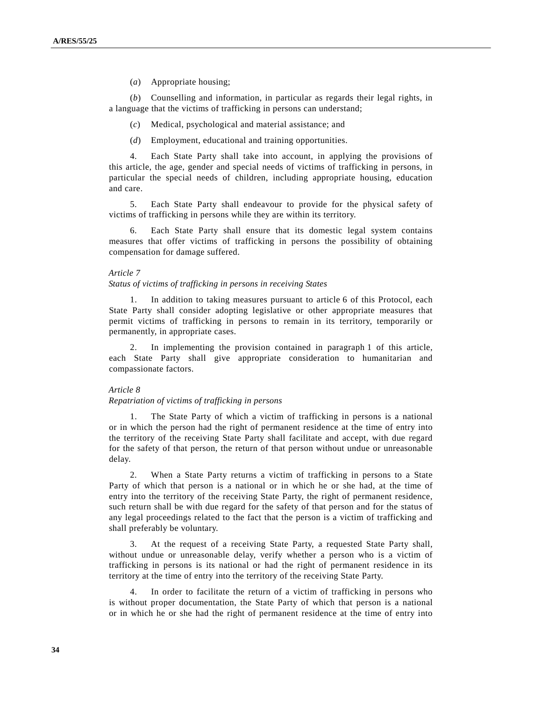(*a*) Appropriate housing;

 (*b*) Counselling and information, in particular as regards their legal rights, in a language that the victims of trafficking in persons can understand;

(*c*) Medical, psychological and material assistance; and

(*d*) Employment, educational and training opportunities.

 4. Each State Party shall take into account, in applying the provisions of this article, the age, gender and special needs of victims of trafficking in persons, in particular the special needs of children, including appropriate housing, education and care.

 5. Each State Party shall endeavour to provide for the physical safety of victims of trafficking in persons while they are within its territory.

 6. Each State Party shall ensure that its domestic legal system contains measures that offer victims of trafficking in persons the possibility of obtaining compensation for damage suffered.

#### *Article 7*

#### *Status of victims of trafficking in persons in receiving States*

 1. In addition to taking measures pursuant to article 6 of this Protocol, each State Party shall consider adopting legislative or other appropriate measures that permit victims of trafficking in persons to remain in its territory, temporarily or permanently, in appropriate cases.

 2. In implementing the provision contained in paragraph 1 of this article, each State Party shall give appropriate consideration to humanitarian and compassionate factors.

## *Article 8*

#### *Repatriation of victims of trafficking in persons*

 1. The State Party of which a victim of trafficking in persons is a national or in which the person had the right of permanent residence at the time of entry into the territory of the receiving State Party shall facilitate and accept, with due regard for the safety of that person, the return of that person without undue or unreasonable delay.

 2. When a State Party returns a victim of trafficking in persons to a State Party of which that person is a national or in which he or she had, at the time of entry into the territory of the receiving State Party, the right of permanent residence, such return shall be with due regard for the safety of that person and for the status of any legal proceedings related to the fact that the person is a victim of trafficking and shall preferably be voluntary.

 3. At the request of a receiving State Party, a requested State Party shall, without undue or unreasonable delay, verify whether a person who is a victim of trafficking in persons is its national or had the right of permanent residence in its territory at the time of entry into the territory of the receiving State Party.

 4. In order to facilitate the return of a victim of trafficking in persons who is without proper documentation, the State Party of which that person is a national or in which he or she had the right of permanent residence at the time of entry into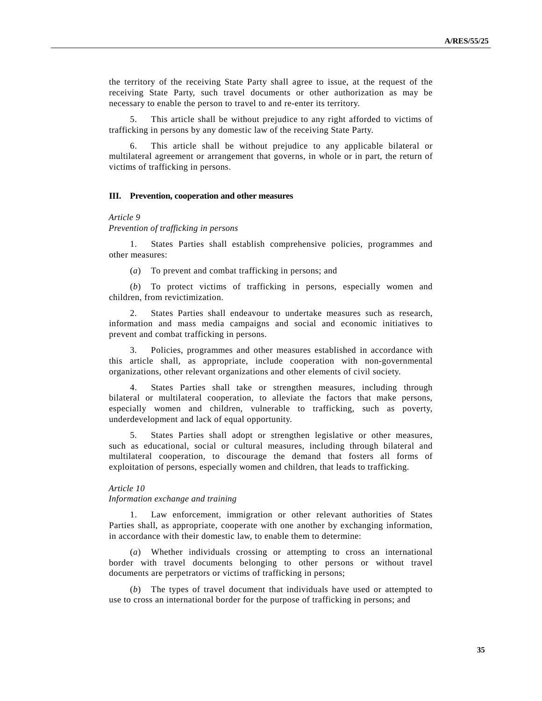the territory of the receiving State Party shall agree to issue, at the request of the receiving State Party, such travel documents or other authorization as may be necessary to enable the person to travel to and re-enter its territory.

 5. This article shall be without prejudice to any right afforded to victims of trafficking in persons by any domestic law of the receiving State Party.

 6. This article shall be without prejudice to any applicable bilateral or multilateral agreement or arrangement that governs, in whole or in part, the return of victims of trafficking in persons.

#### **III. Prevention, cooperation and other measures**

#### *Article 9*

#### *Prevention of trafficking in persons*

 1. States Parties shall establish comprehensive policies, programmes and other measures:

(*a*) To prevent and combat trafficking in persons; and

 (*b*) To protect victims of trafficking in persons, especially women and children, from revictimization.

 2. States Parties shall endeavour to undertake measures such as research, information and mass media campaigns and social and economic initiatives to prevent and combat trafficking in persons.

 3. Policies, programmes and other measures established in accordance with this article shall, as appropriate, include cooperation with non-governmental organizations, other relevant organizations and other elements of civil society.

 4. States Parties shall take or strengthen measures, including through bilateral or multilateral cooperation, to alleviate the factors that make persons, especially women and children, vulnerable to trafficking, such as poverty, underdevelopment and lack of equal opportunity.

 5. States Parties shall adopt or strengthen legislative or other measures, such as educational, social or cultural measures, including through bilateral and multilateral cooperation, to discourage the demand that fosters all forms of exploitation of persons, especially women and children, that leads to trafficking.

## *Article 10*

# *Information exchange and training*

 1. Law enforcement, immigration or other relevant authorities of States Parties shall, as appropriate, cooperate with one another by exchanging information, in accordance with their domestic law, to enable them to determine:

 (*a*) Whether individuals crossing or attempting to cross an international border with travel documents belonging to other persons or without travel documents are perpetrators or victims of trafficking in persons;

 (*b*) The types of travel document that individuals have used or attempted to use to cross an international border for the purpose of trafficking in persons; and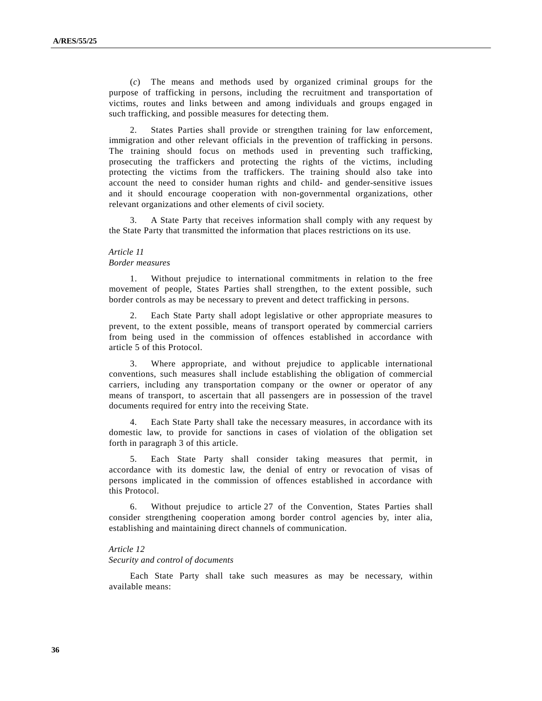(*c*) The means and methods used by organized criminal groups for the purpose of trafficking in persons, including the recruitment and transportation of victims, routes and links between and among individuals and groups engaged in such trafficking, and possible measures for detecting them.

States Parties shall provide or strengthen training for law enforcement, immigration and other relevant officials in the prevention of trafficking in persons. The training should focus on methods used in preventing such trafficking, prosecuting the traffickers and protecting the rights of the victims, including protecting the victims from the traffickers. The training should also take into account the need to consider human rights and child- and gender-sensitive issues and it should encourage cooperation with non-governmental organizations, other relevant organizations and other elements of civil society.

 3. A State Party that receives information shall comply with any request by the State Party that transmitted the information that places restrictions on its use.

# *Article 11*

# *Border measures*

 1. Without prejudice to international commitments in relation to the free movement of people, States Parties shall strengthen, to the extent possible, such border controls as may be necessary to prevent and detect trafficking in persons.

Each State Party shall adopt legislative or other appropriate measures to prevent, to the extent possible, means of transport operated by commercial carriers from being used in the commission of offences established in accordance with article 5 of this Protocol.

 3. Where appropriate, and without prejudice to applicable international conventions, such measures shall include establishing the obligation of commercial carriers, including any transportation company or the owner or operator of any means of transport, to ascertain that all passengers are in possession of the travel documents required for entry into the receiving State.

 4. Each State Party shall take the necessary measures, in accordance with its domestic law, to provide for sanctions in cases of violation of the obligation set forth in paragraph 3 of this article.

 5. Each State Party shall consider taking measures that permit, in accordance with its domestic law, the denial of entry or revocation of visas of persons implicated in the commission of offences established in accordance with this Protocol.

 6. Without prejudice to article 27 of the Convention, States Parties shall consider strengthening cooperation among border control agencies by, inter alia, establishing and maintaining direct channels of communication.

# *Article 12*

#### *Security and control of documents*

 Each State Party shall take such measures as may be necessary, within available means: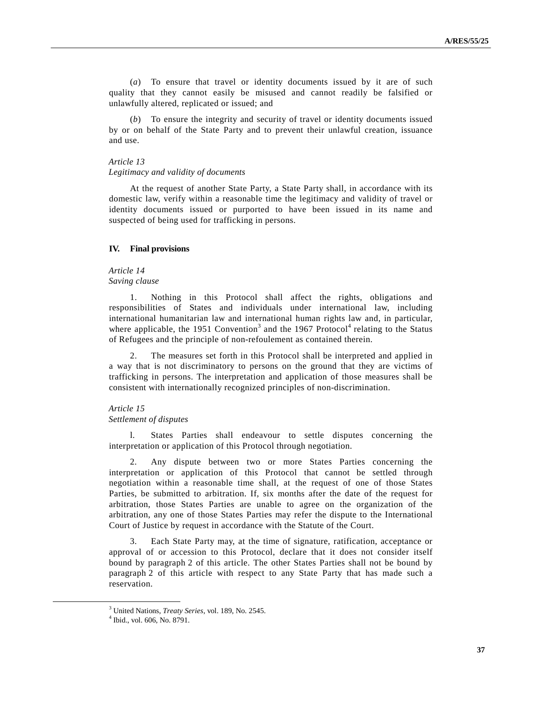(*a*) To ensure that travel or identity documents issued by it are of such quality that they cannot easily be misused and cannot readily be falsified or unlawfully altered, replicated or issued; and

 (*b*) To ensure the integrity and security of travel or identity documents issued by or on behalf of the State Party and to prevent their unlawful creation, issuance and use.

### *Article 13*

#### *Legitimacy and validity of documents*

 At the request of another State Party, a State Party shall, in accordance with its domestic law, verify within a reasonable time the legitimacy and validity of travel or identity documents issued or purported to have been issued in its name and suspected of being used for trafficking in persons.

#### **IV. Final provisions**

# *Article 14 Saving clause*

 1. Nothing in this Protocol shall affect the rights, obligations and responsibilities of States and individuals under international law, including international humanitarian law and international human rights law and, in particular, where applicable, the 1951 Convention<sup>3</sup> and the 1967 Protocol<sup>4</sup> relating to the Status of Refugees and the principle of non-refoulement as contained therein.

 2. The measures set forth in this Protocol shall be interpreted and applied in a way that is not discriminatory to persons on the ground that they are victims of trafficking in persons. The interpretation and application of those measures shall be consistent with internationally recognized principles of non-discrimination.

# *Article 15*

# *Settlement of disputes*

 l. States Parties shall endeavour to settle disputes concerning the interpretation or application of this Protocol through negotiation.

Any dispute between two or more States Parties concerning the interpretation or application of this Protocol that cannot be settled through negotiation within a reasonable time shall, at the request of one of those States Parties, be submitted to arbitration. If, six months after the date of the request for arbitration, those States Parties are unable to agree on the organization of the arbitration, any one of those States Parties may refer the dispute to the International Court of Justice by request in accordance with the Statute of the Court.

 3. Each State Party may, at the time of signature, ratification, acceptance or approval of or accession to this Protocol, declare that it does not consider itself bound by paragraph 2 of this article. The other States Parties shall not be bound by paragraph 2 of this article with respect to any State Party that has made such a reservation.

 <sup>3</sup> United Nations, *Treaty Series*, vol. 189, No. 2545. 4

<sup>&</sup>lt;sup>4</sup> Ibid., vol. 606, No. 8791.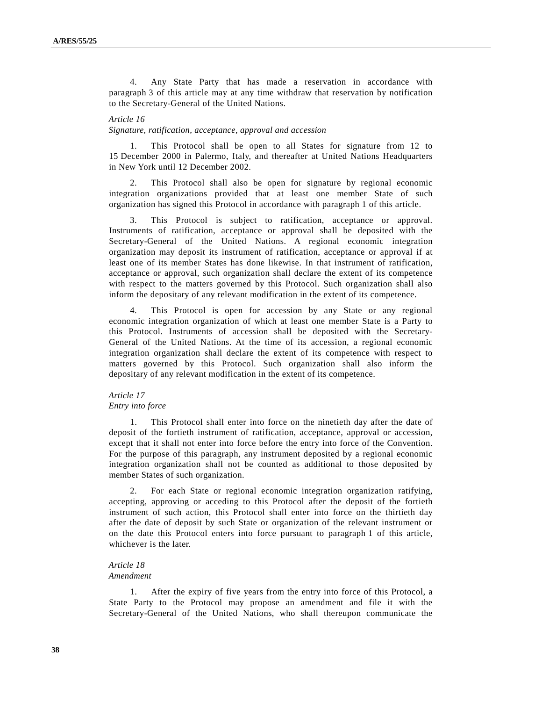4. Any State Party that has made a reservation in accordance with paragraph 3 of this article may at any time withdraw that reservation by notification to the Secretary-General of the United Nations.

# *Article 16*

## *Signature, ratification, acceptance, approval and accession*

This Protocol shall be open to all States for signature from 12 to 15 December 2000 in Palermo, Italy, and thereafter at United Nations Headquarters in New York until 12 December 2002.

This Protocol shall also be open for signature by regional economic integration organizations provided that at least one member State of such organization has signed this Protocol in accordance with paragraph 1 of this article.

 3. This Protocol is subject to ratification, acceptance or approval. Instruments of ratification, acceptance or approval shall be deposited with the Secretary-General of the United Nations. A regional economic integration organization may deposit its instrument of ratification, acceptance or approval if at least one of its member States has done likewise. In that instrument of ratification, acceptance or approval, such organization shall declare the extent of its competence with respect to the matters governed by this Protocol. Such organization shall also inform the depositary of any relevant modification in the extent of its competence.

 4. This Protocol is open for accession by any State or any regional economic integration organization of which at least one member State is a Party to this Protocol. Instruments of accession shall be deposited with the Secretary-General of the United Nations. At the time of its accession, a regional economic integration organization shall declare the extent of its competence with respect to matters governed by this Protocol. Such organization shall also inform the depositary of any relevant modification in the extent of its competence.

# *Article 17*

#### *Entry into force*

 1. This Protocol shall enter into force on the ninetieth day after the date of deposit of the fortieth instrument of ratification, acceptance, approval or accession, except that it shall not enter into force before the entry into force of the Convention. For the purpose of this paragraph, any instrument deposited by a regional economic integration organization shall not be counted as additional to those deposited by member States of such organization.

 2. For each State or regional economic integration organization ratifying, accepting, approving or acceding to this Protocol after the deposit of the fortieth instrument of such action, this Protocol shall enter into force on the thirtieth day after the date of deposit by such State or organization of the relevant instrument or on the date this Protocol enters into force pursuant to paragraph 1 of this article, whichever is the later.

## *Article 18 Amendment*

 1. After the expiry of five years from the entry into force of this Protocol, a State Party to the Protocol may propose an amendment and file it with the Secretary-General of the United Nations, who shall thereupon communicate the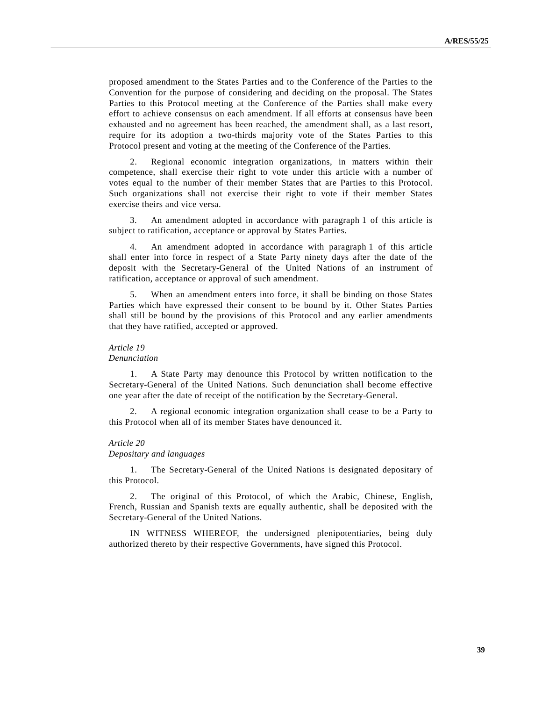proposed amendment to the States Parties and to the Conference of the Parties to the Convention for the purpose of considering and deciding on the proposal. The States Parties to this Protocol meeting at the Conference of the Parties shall make every effort to achieve consensus on each amendment. If all efforts at consensus have been exhausted and no agreement has been reached, the amendment shall, as a last resort, require for its adoption a two-thirds majority vote of the States Parties to this Protocol present and voting at the meeting of the Conference of the Parties.

 2. Regional economic integration organizations, in matters within their competence, shall exercise their right to vote under this article with a number of votes equal to the number of their member States that are Parties to this Protocol. Such organizations shall not exercise their right to vote if their member States exercise theirs and vice versa.

 3. An amendment adopted in accordance with paragraph 1 of this article is subject to ratification, acceptance or approval by States Parties.

 4. An amendment adopted in accordance with paragraph 1 of this article shall enter into force in respect of a State Party ninety days after the date of the deposit with the Secretary-General of the United Nations of an instrument of ratification, acceptance or approval of such amendment.

 5. When an amendment enters into force, it shall be binding on those States Parties which have expressed their consent to be bound by it. Other States Parties shall still be bound by the provisions of this Protocol and any earlier amendments that they have ratified, accepted or approved.

#### *Article 19*

## *Denunciation*

 1. A State Party may denounce this Protocol by written notification to the Secretary-General of the United Nations. Such denunciation shall become effective one year after the date of receipt of the notification by the Secretary-General.

 2. A regional economic integration organization shall cease to be a Party to this Protocol when all of its member States have denounced it.

# *Article 20*

# *Depositary and languages*

 1. The Secretary-General of the United Nations is designated depositary of this Protocol.

 2. The original of this Protocol, of which the Arabic, Chinese, English, French, Russian and Spanish texts are equally authentic, shall be deposited with the Secretary-General of the United Nations.

 IN WITNESS WHEREOF, the undersigned plenipotentiaries, being duly authorized thereto by their respective Governments, have signed this Protocol.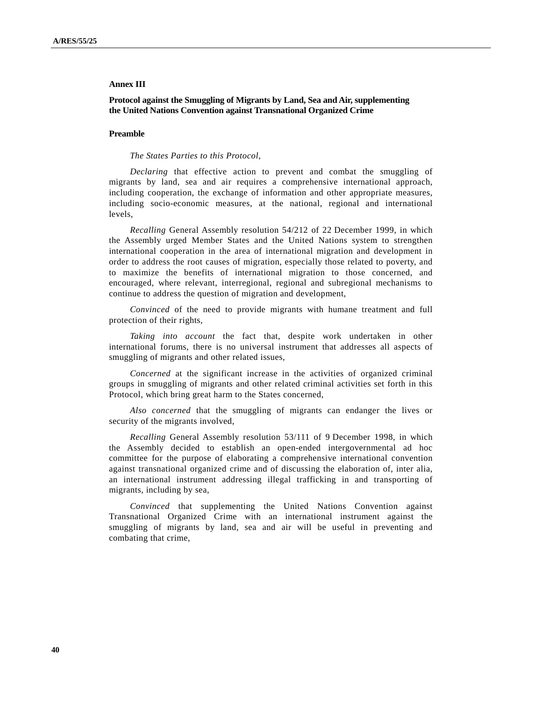#### **Annex III**

# **Protocol against the Smuggling of Migrants by Land, Sea and Air, supplementing the United Nations Convention against Transnational Organized Crime**

#### **Preamble**

*The States Parties to this Protocol*,

*Declaring* that effective action to prevent and combat the smuggling of migrants by land, sea and air requires a comprehensive international approach, including cooperation, the exchange of information and other appropriate measures, including socio-economic measures, at the national, regional and international levels,

*Recalling* General Assembly resolution 54/212 of 22 December 1999, in which the Assembly urged Member States and the United Nations system to strengthen international cooperation in the area of international migration and development in order to address the root causes of migration, especially those related to poverty, and to maximize the benefits of international migration to those concerned, and encouraged, where relevant, interregional, regional and subregional mechanisms to continue to address the question of migration and development,

*Convinced* of the need to provide migrants with humane treatment and full protection of their rights,

*Taking into account* the fact that, despite work undertaken in other international forums, there is no universal instrument that addresses all aspects of smuggling of migrants and other related issues,

*Concerned* at the significant increase in the activities of organized criminal groups in smuggling of migrants and other related criminal activities set forth in this Protocol, which bring great harm to the States concerned,

*Also concerned* that the smuggling of migrants can endanger the lives or security of the migrants involved,

*Recalling* General Assembly resolution 53/111 of 9 December 1998, in which the Assembly decided to establish an open-ended intergovernmental ad hoc committee for the purpose of elaborating a comprehensive international convention against transnational organized crime and of discussing the elaboration of, inter alia, an international instrument addressing illegal trafficking in and transporting of migrants, including by sea,

*Convinced* that supplementing the United Nations Convention against Transnational Organized Crime with an international instrument against the smuggling of migrants by land, sea and air will be useful in preventing and combating that crime,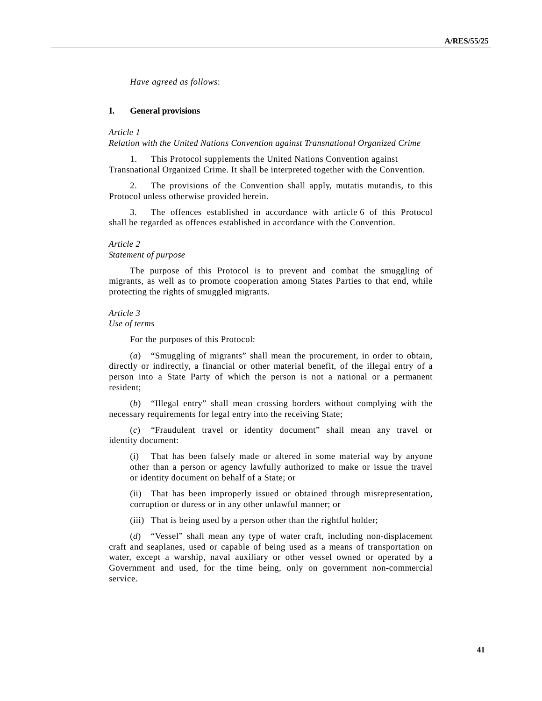*Have agreed as follows*:

#### **I. General provisions**

#### *Article 1*

#### *Relation with the United Nations Convention against Transnational Organized Crime*

 1. This Protocol supplements the United Nations Convention against Transnational Organized Crime. It shall be interpreted together with the Convention.

 2. The provisions of the Convention shall apply, mutatis mutandis, to this Protocol unless otherwise provided herein.

 3. The offences established in accordance with article 6 of this Protocol shall be regarded as offences established in accordance with the Convention.

#### *Article 2*

### *Statement of purpose*

 The purpose of this Protocol is to prevent and combat the smuggling of migrants, as well as to promote cooperation among States Parties to that end, while protecting the rights of smuggled migrants.

# *Article 3*

*Use of terms* 

For the purposes of this Protocol:

 (*a*) "Smuggling of migrants" shall mean the procurement, in order to obtain, directly or indirectly, a financial or other material benefit, of the illegal entry of a person into a State Party of which the person is not a national or a permanent resident;

 (*b*) "Illegal entry" shall mean crossing borders without complying with the necessary requirements for legal entry into the receiving State;

 (*c*) "Fraudulent travel or identity document" shall mean any travel or identity document:

 (i) That has been falsely made or altered in some material way by anyone other than a person or agency lawfully authorized to make or issue the travel or identity document on behalf of a State; or

 (ii) That has been improperly issued or obtained through misrepresentation, corruption or duress or in any other unlawful manner; or

(iii) That is being used by a person other than the rightful holder;

 (*d*) "Vessel" shall mean any type of water craft, including non-displacement craft and seaplanes, used or capable of being used as a means of transportation on water, except a warship, naval auxiliary or other vessel owned or operated by a Government and used, for the time being, only on government non-commercial service.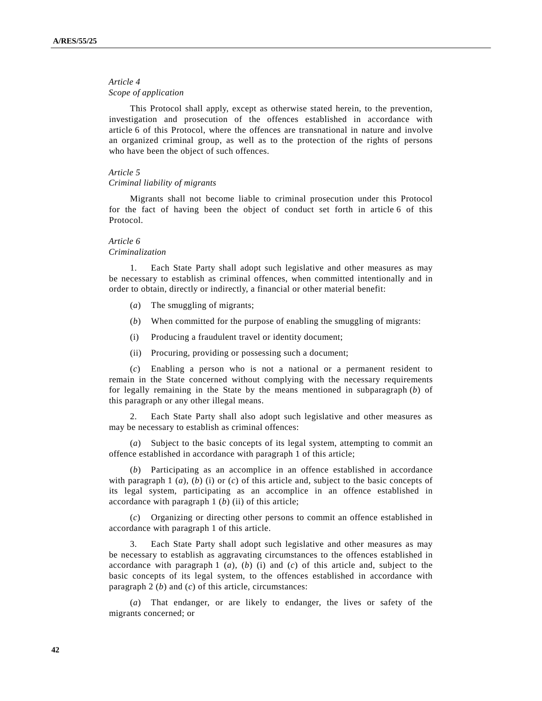# *Article 4 Scope of application*

 This Protocol shall apply, except as otherwise stated herein, to the prevention, investigation and prosecution of the offences established in accordance with article 6 of this Protocol, where the offences are transnational in nature and involve an organized criminal group, as well as to the protection of the rights of persons who have been the object of such offences.

#### *Article 5*

### *Criminal liability of migrants*

 Migrants shall not become liable to criminal prosecution under this Protocol for the fact of having been the object of conduct set forth in article 6 of this Protocol.

# *Article 6 Criminalization*

 1. Each State Party shall adopt such legislative and other measures as may be necessary to establish as criminal offences, when committed intentionally and in order to obtain, directly or indirectly, a financial or other material benefit:

- (*a*) The smuggling of migrants;
- (*b*) When committed for the purpose of enabling the smuggling of migrants:
- (i) Producing a fraudulent travel or identity document;
- (ii) Procuring, providing or possessing such a document;

 (*c*) Enabling a person who is not a national or a permanent resident to remain in the State concerned without complying with the necessary requirements for legally remaining in the State by the means mentioned in subparagraph (*b*) of this paragraph or any other illegal means.

 2. Each State Party shall also adopt such legislative and other measures as may be necessary to establish as criminal offences:

 (*a*) Subject to the basic concepts of its legal system, attempting to commit an offence established in accordance with paragraph 1 of this article;

 (*b*) Participating as an accomplice in an offence established in accordance with paragraph 1 (*a*), (*b*) (i) or (*c*) of this article and, subject to the basic concepts of its legal system, participating as an accomplice in an offence established in accordance with paragraph 1 (*b*) (ii) of this article;

 (*c*) Organizing or directing other persons to commit an offence established in accordance with paragraph 1 of this article.

 3. Each State Party shall adopt such legislative and other measures as may be necessary to establish as aggravating circumstances to the offences established in accordance with paragraph 1 (*a*), (*b*) (i) and (*c*) of this article and, subject to the basic concepts of its legal system, to the offences established in accordance with paragraph 2 (*b*) and (*c*) of this article, circumstances:

 (*a*) That endanger, or are likely to endanger, the lives or safety of the migrants concerned; or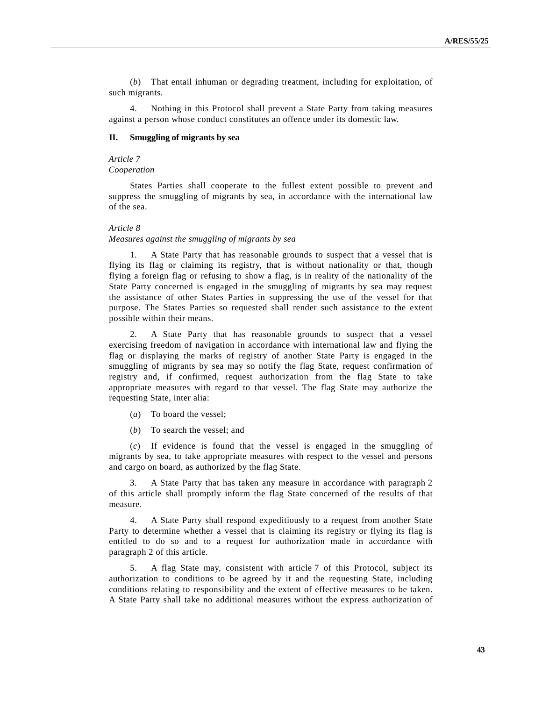(*b*) That entail inhuman or degrading treatment, including for exploitation, of such migrants.

 4. Nothing in this Protocol shall prevent a State Party from taking measures against a person whose conduct constitutes an offence under its domestic law.

## **II. Smuggling of migrants by sea**

*Article 7 Cooperation* 

 States Parties shall cooperate to the fullest extent possible to prevent and suppress the smuggling of migrants by sea, in accordance with the international law of the sea.

### *Article 8*

#### *Measures against the smuggling of migrants by sea*

 1. A State Party that has reasonable grounds to suspect that a vessel that is flying its flag or claiming its registry, that is without nationality or that, though flying a foreign flag or refusing to show a flag, is in reality of the nationality of the State Party concerned is engaged in the smuggling of migrants by sea may request the assistance of other States Parties in suppressing the use of the vessel for that purpose. The States Parties so requested shall render such assistance to the extent possible within their means.

 2. A State Party that has reasonable grounds to suspect that a vessel exercising freedom of navigation in accordance with international law and flying the flag or displaying the marks of registry of another State Party is engaged in the smuggling of migrants by sea may so notify the flag State, request confirmation of registry and, if confirmed, request authorization from the flag State to take appropriate measures with regard to that vessel. The flag State may authorize the requesting State, inter alia:

- (*a*) To board the vessel;
- (*b*) To search the vessel; and

 (*c*) If evidence is found that the vessel is engaged in the smuggling of migrants by sea, to take appropriate measures with respect to the vessel and persons and cargo on board, as authorized by the flag State.

 3. A State Party that has taken any measure in accordance with paragraph 2 of this article shall promptly inform the flag State concerned of the results of that measure.

 4. A State Party shall respond expeditiously to a request from another State Party to determine whether a vessel that is claiming its registry or flying its flag is entitled to do so and to a request for authorization made in accordance with paragraph 2 of this article.

 5. A flag State may, consistent with article 7 of this Protocol, subject its authorization to conditions to be agreed by it and the requesting State, including conditions relating to responsibility and the extent of effective measures to be taken. A State Party shall take no additional measures without the express authorization of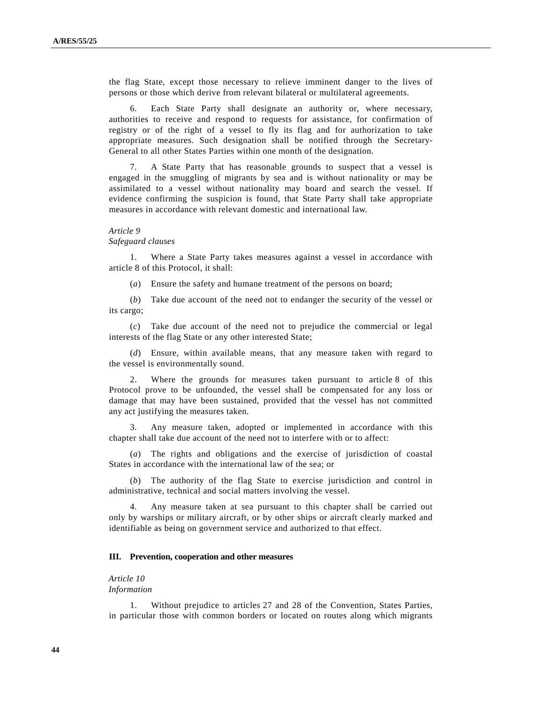the flag State, except those necessary to relieve imminent danger to the lives of persons or those which derive from relevant bilateral or multilateral agreements.

 6. Each State Party shall designate an authority or, where necessary, authorities to receive and respond to requests for assistance, for confirmation of registry or of the right of a vessel to fly its flag and for authorization to take appropriate measures. Such designation shall be notified through the Secretary-General to all other States Parties within one month of the designation.

 7. A State Party that has reasonable grounds to suspect that a vessel is engaged in the smuggling of migrants by sea and is without nationality or may be assimilated to a vessel without nationality may board and search the vessel. If evidence confirming the suspicion is found, that State Party shall take appropriate measures in accordance with relevant domestic and international law.

#### *Article 9*

#### *Safeguard clauses*

 1. Where a State Party takes measures against a vessel in accordance with article 8 of this Protocol, it shall:

(*a*) Ensure the safety and humane treatment of the persons on board;

 (*b*) Take due account of the need not to endanger the security of the vessel or its cargo;

 (*c*) Take due account of the need not to prejudice the commercial or legal interests of the flag State or any other interested State;

 (*d*) Ensure, within available means, that any measure taken with regard to the vessel is environmentally sound.

 2. Where the grounds for measures taken pursuant to article 8 of this Protocol prove to be unfounded, the vessel shall be compensated for any loss or damage that may have been sustained, provided that the vessel has not committed any act justifying the measures taken.

Any measure taken, adopted or implemented in accordance with this chapter shall take due account of the need not to interfere with or to affect:

 (*a*) The rights and obligations and the exercise of jurisdiction of coastal States in accordance with the international law of the sea; or

 (*b*) The authority of the flag State to exercise jurisdiction and control in administrative, technical and social matters involving the vessel.

 4. Any measure taken at sea pursuant to this chapter shall be carried out only by warships or military aircraft, or by other ships or aircraft clearly marked and identifiable as being on government service and authorized to that effect.

#### **III. Prevention, cooperation and other measures**

# *Article 10*

# *Information*

Without prejudice to articles 27 and 28 of the Convention, States Parties, in particular those with common borders or located on routes along which migrants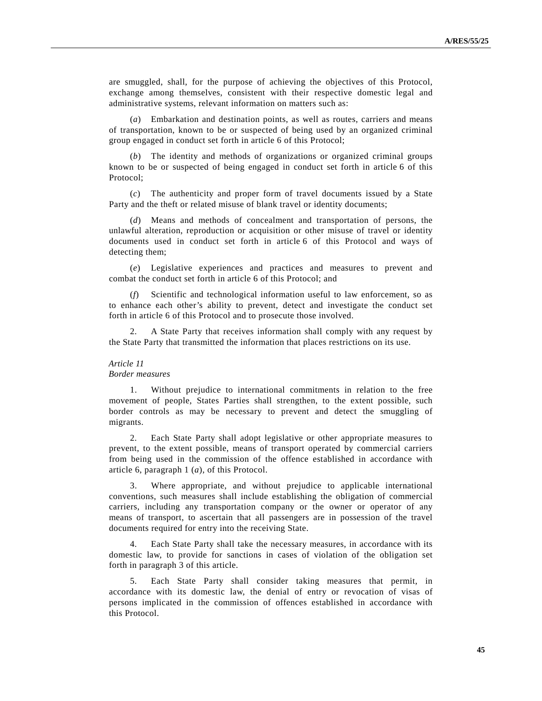are smuggled, shall, for the purpose of achieving the objectives of this Protocol, exchange among themselves, consistent with their respective domestic legal and administrative systems, relevant information on matters such as:

 (*a*) Embarkation and destination points, as well as routes, carriers and means of transportation, known to be or suspected of being used by an organized criminal group engaged in conduct set forth in article 6 of this Protocol;

 (*b*) The identity and methods of organizations or organized criminal groups known to be or suspected of being engaged in conduct set forth in article 6 of this Protocol;

 (*c*) The authenticity and proper form of travel documents issued by a State Party and the theft or related misuse of blank travel or identity documents;

 (*d*) Means and methods of concealment and transportation of persons, the unlawful alteration, reproduction or acquisition or other misuse of travel or identity documents used in conduct set forth in article 6 of this Protocol and ways of detecting them;

 (*e*) Legislative experiences and practices and measures to prevent and combat the conduct set forth in article 6 of this Protocol; and

 (*f*) Scientific and technological information useful to law enforcement, so as to enhance each other's ability to prevent, detect and investigate the conduct set forth in article 6 of this Protocol and to prosecute those involved.

 2. A State Party that receives information shall comply with any request by the State Party that transmitted the information that places restrictions on its use.

## *Article 11 Border measures*

 1. Without prejudice to international commitments in relation to the free movement of people, States Parties shall strengthen, to the extent possible, such border controls as may be necessary to prevent and detect the smuggling of migrants.

 2. Each State Party shall adopt legislative or other appropriate measures to prevent, to the extent possible, means of transport operated by commercial carriers from being used in the commission of the offence established in accordance with article 6, paragraph 1 (*a*), of this Protocol.

 3. Where appropriate, and without prejudice to applicable international conventions, such measures shall include establishing the obligation of commercial carriers, including any transportation company or the owner or operator of any means of transport, to ascertain that all passengers are in possession of the travel documents required for entry into the receiving State.

 4. Each State Party shall take the necessary measures, in accordance with its domestic law, to provide for sanctions in cases of violation of the obligation set forth in paragraph 3 of this article.

 5. Each State Party shall consider taking measures that permit, in accordance with its domestic law, the denial of entry or revocation of visas of persons implicated in the commission of offences established in accordance with this Protocol.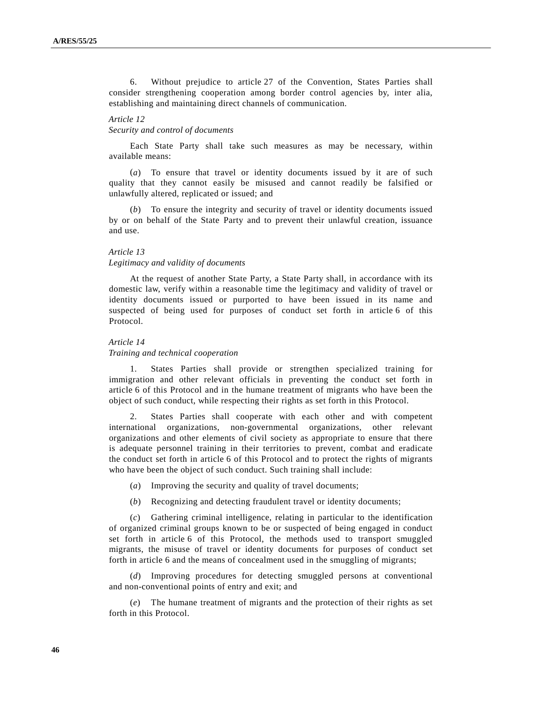6. Without prejudice to article 27 of the Convention, States Parties shall consider strengthening cooperation among border control agencies by, inter alia, establishing and maintaining direct channels of communication.

## *Article 12*

# *Security and control of documents*

 Each State Party shall take such measures as may be necessary, within available means:

 (*a*) To ensure that travel or identity documents issued by it are of such quality that they cannot easily be misused and cannot readily be falsified or unlawfully altered, replicated or issued; and

 (*b*) To ensure the integrity and security of travel or identity documents issued by or on behalf of the State Party and to prevent their unlawful creation, issuance and use.

## *Article 13*

# *Legitimacy and validity of documents*

 At the request of another State Party, a State Party shall, in accordance with its domestic law, verify within a reasonable time the legitimacy and validity of travel or identity documents issued or purported to have been issued in its name and suspected of being used for purposes of conduct set forth in article 6 of this Protocol.

### *Article 14*

#### *Training and technical cooperation*

States Parties shall provide or strengthen specialized training for immigration and other relevant officials in preventing the conduct set forth in article 6 of this Protocol and in the humane treatment of migrants who have been the object of such conduct, while respecting their rights as set forth in this Protocol.

 2. States Parties shall cooperate with each other and with competent international organizations, non-governmental organizations, other relevant organizations and other elements of civil society as appropriate to ensure that there is adequate personnel training in their territories to prevent, combat and eradicate the conduct set forth in article 6 of this Protocol and to protect the rights of migrants who have been the object of such conduct. Such training shall include:

(*a*) Improving the security and quality of travel documents;

(*b*) Recognizing and detecting fraudulent travel or identity documents;

 (*c*) Gathering criminal intelligence, relating in particular to the identification of organized criminal groups known to be or suspected of being engaged in conduct set forth in article 6 of this Protocol, the methods used to transport smuggled migrants, the misuse of travel or identity documents for purposes of conduct set forth in article 6 and the means of concealment used in the smuggling of migrants;

 (*d*) Improving procedures for detecting smuggled persons at conventional and non-conventional points of entry and exit; and

 (*e*) The humane treatment of migrants and the protection of their rights as set forth in this Protocol.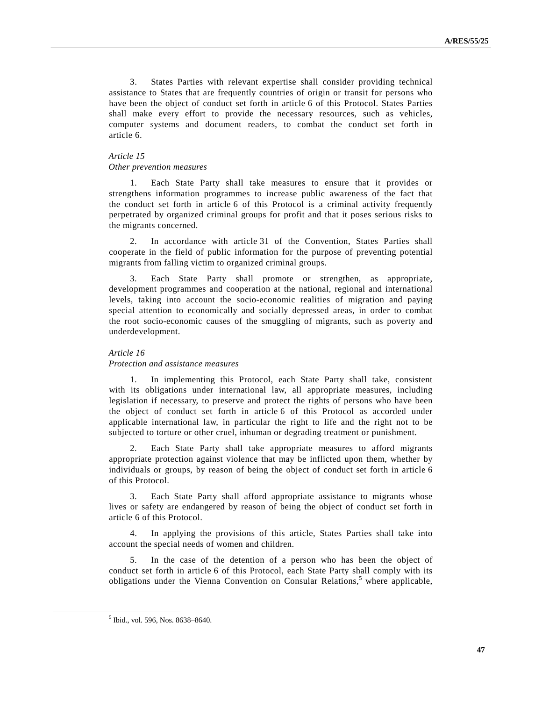3. States Parties with relevant expertise shall consider providing technical assistance to States that are frequently countries of origin or transit for persons who have been the object of conduct set forth in article 6 of this Protocol. States Parties shall make every effort to provide the necessary resources, such as vehicles, computer systems and document readers, to combat the conduct set forth in article 6.

## *Article 15*

## *Other prevention measures*

 1. Each State Party shall take measures to ensure that it provides or strengthens information programmes to increase public awareness of the fact that the conduct set forth in article 6 of this Protocol is a criminal activity frequently perpetrated by organized criminal groups for profit and that it poses serious risks to the migrants concerned.

 2. In accordance with article 31 of the Convention, States Parties shall cooperate in the field of public information for the purpose of preventing potential migrants from falling victim to organized criminal groups.

 3. Each State Party shall promote or strengthen, as appropriate, development programmes and cooperation at the national, regional and international levels, taking into account the socio-economic realities of migration and paying special attention to economically and socially depressed areas, in order to combat the root socio-economic causes of the smuggling of migrants, such as poverty and underdevelopment.

# *Article 16*

#### *Protection and assistance measures*

 1. In implementing this Protocol, each State Party shall take, consistent with its obligations under international law, all appropriate measures, including legislation if necessary, to preserve and protect the rights of persons who have been the object of conduct set forth in article 6 of this Protocol as accorded under applicable international law, in particular the right to life and the right not to be subjected to torture or other cruel, inhuman or degrading treatment or punishment.

 2. Each State Party shall take appropriate measures to afford migrants appropriate protection against violence that may be inflicted upon them, whether by individuals or groups, by reason of being the object of conduct set forth in article 6 of this Protocol.

 3. Each State Party shall afford appropriate assistance to migrants whose lives or safety are endangered by reason of being the object of conduct set forth in article 6 of this Protocol.

 4. In applying the provisions of this article, States Parties shall take into account the special needs of women and children.

 5. In the case of the detention of a person who has been the object of conduct set forth in article 6 of this Protocol, each State Party shall comply with its obligations under the Vienna Convention on Consular Relations,<sup>5</sup> where applicable,

 $\frac{1}{5}$  $<sup>5</sup>$  Ibid., vol. 596, Nos. 8638–8640.</sup>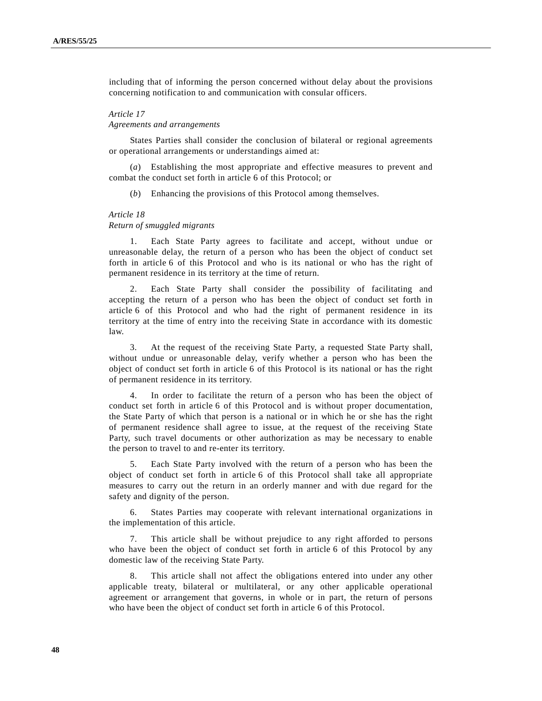including that of informing the person concerned without delay about the provisions concerning notification to and communication with consular officers.

#### *Article 17*

## *Agreements and arrangements*

 States Parties shall consider the conclusion of bilateral or regional agreements or operational arrangements or understandings aimed at:

 (*a*) Establishing the most appropriate and effective measures to prevent and combat the conduct set forth in article 6 of this Protocol; or

Enhancing the provisions of this Protocol among themselves.

#### *Article 18*

#### *Return of smuggled migrants*

 1. Each State Party agrees to facilitate and accept, without undue or unreasonable delay, the return of a person who has been the object of conduct set forth in article 6 of this Protocol and who is its national or who has the right of permanent residence in its territory at the time of return.

 2. Each State Party shall consider the possibility of facilitating and accepting the return of a person who has been the object of conduct set forth in article 6 of this Protocol and who had the right of permanent residence in its territory at the time of entry into the receiving State in accordance with its domestic law.

 3. At the request of the receiving State Party, a requested State Party shall, without undue or unreasonable delay, verify whether a person who has been the object of conduct set forth in article 6 of this Protocol is its national or has the right of permanent residence in its territory.

 4. In order to facilitate the return of a person who has been the object of conduct set forth in article 6 of this Protocol and is without proper documentation, the State Party of which that person is a national or in which he or she has the right of permanent residence shall agree to issue, at the request of the receiving State Party, such travel documents or other authorization as may be necessary to enable the person to travel to and re-enter its territory.

 5. Each State Party involved with the return of a person who has been the object of conduct set forth in article 6 of this Protocol shall take all appropriate measures to carry out the return in an orderly manner and with due regard for the safety and dignity of the person.

 6. States Parties may cooperate with relevant international organizations in the implementation of this article.

 7. This article shall be without prejudice to any right afforded to persons who have been the object of conduct set forth in article 6 of this Protocol by any domestic law of the receiving State Party.

 8. This article shall not affect the obligations entered into under any other applicable treaty, bilateral or multilateral, or any other applicable operational agreement or arrangement that governs, in whole or in part, the return of persons who have been the object of conduct set forth in article 6 of this Protocol.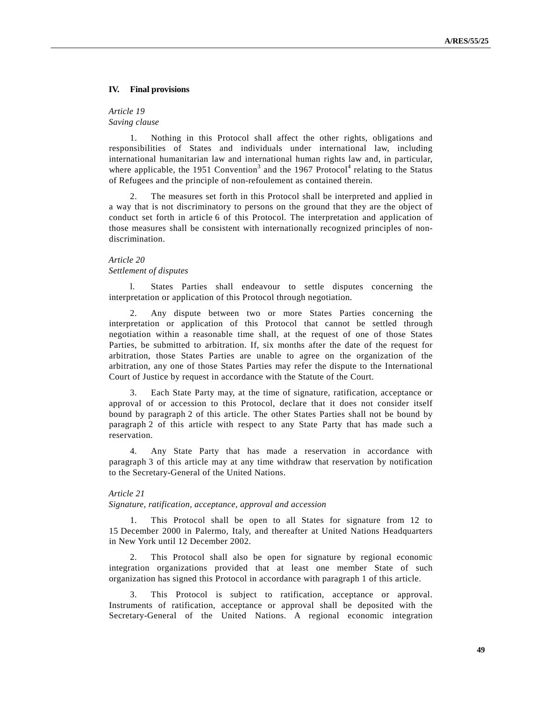#### **IV. Final provisions**

## *Article 19 Saving clause*

 1. Nothing in this Protocol shall affect the other rights, obligations and responsibilities of States and individuals under international law, including international humanitarian law and international human rights law and, in particular, where applicable, the 1951 Convention<sup>3</sup> and the 1967 Protocol<sup>4</sup> relating to the Status of Refugees and the principle of non-refoulement as contained therein.

 2. The measures set forth in this Protocol shall be interpreted and applied in a way that is not discriminatory to persons on the ground that they are the object of conduct set forth in article 6 of this Protocol. The interpretation and application of those measures shall be consistent with internationally recognized principles of nondiscrimination.

#### *Article 20*

#### *Settlement of disputes*

 l. States Parties shall endeavour to settle disputes concerning the interpretation or application of this Protocol through negotiation.

 2. Any dispute between two or more States Parties concerning the interpretation or application of this Protocol that cannot be settled through negotiation within a reasonable time shall, at the request of one of those States Parties, be submitted to arbitration. If, six months after the date of the request for arbitration, those States Parties are unable to agree on the organization of the arbitration, any one of those States Parties may refer the dispute to the International Court of Justice by request in accordance with the Statute of the Court.

 3. Each State Party may, at the time of signature, ratification, acceptance or approval of or accession to this Protocol, declare that it does not consider itself bound by paragraph 2 of this article. The other States Parties shall not be bound by paragraph 2 of this article with respect to any State Party that has made such a reservation.

 4. Any State Party that has made a reservation in accordance with paragraph 3 of this article may at any time withdraw that reservation by notification to the Secretary-General of the United Nations.

#### *Article 21*

#### *Signature, ratification, acceptance, approval and accession*

 1. This Protocol shall be open to all States for signature from 12 to 15 December 2000 in Palermo, Italy, and thereafter at United Nations Headquarters in New York until 12 December 2002.

 2. This Protocol shall also be open for signature by regional economic integration organizations provided that at least one member State of such organization has signed this Protocol in accordance with paragraph 1 of this article.

 3. This Protocol is subject to ratification, acceptance or approval. Instruments of ratification, acceptance or approval shall be deposited with the Secretary-General of the United Nations. A regional economic integration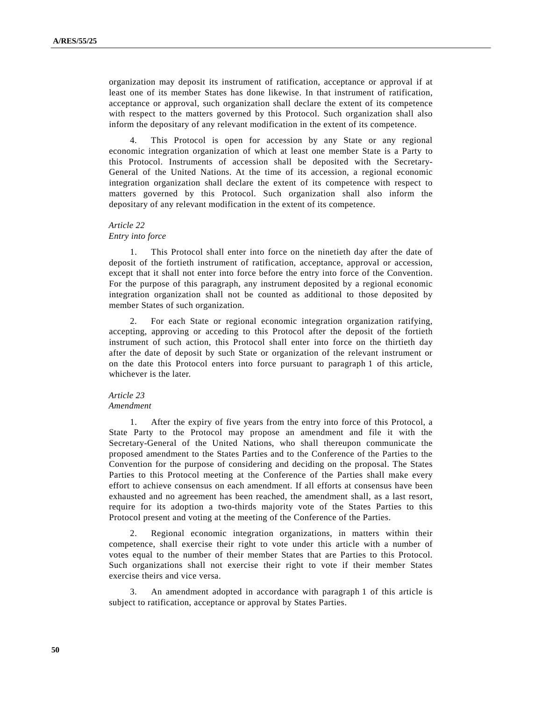organization may deposit its instrument of ratification, acceptance or approval if at least one of its member States has done likewise. In that instrument of ratification, acceptance or approval, such organization shall declare the extent of its competence with respect to the matters governed by this Protocol. Such organization shall also inform the depositary of any relevant modification in the extent of its competence.

 4. This Protocol is open for accession by any State or any regional economic integration organization of which at least one member State is a Party to this Protocol. Instruments of accession shall be deposited with the Secretary-General of the United Nations. At the time of its accession, a regional economic integration organization shall declare the extent of its competence with respect to matters governed by this Protocol. Such organization shall also inform the depositary of any relevant modification in the extent of its competence.

#### *Article 22 Entry into force*

 1. This Protocol shall enter into force on the ninetieth day after the date of deposit of the fortieth instrument of ratification, acceptance, approval or accession, except that it shall not enter into force before the entry into force of the Convention. For the purpose of this paragraph, any instrument deposited by a regional economic integration organization shall not be counted as additional to those deposited by member States of such organization.

 2. For each State or regional economic integration organization ratifying, accepting, approving or acceding to this Protocol after the deposit of the fortieth instrument of such action, this Protocol shall enter into force on the thirtieth day after the date of deposit by such State or organization of the relevant instrument or on the date this Protocol enters into force pursuant to paragraph 1 of this article, whichever is the later.

# *Article 23*

*Amendment* 

 1. After the expiry of five years from the entry into force of this Protocol, a State Party to the Protocol may propose an amendment and file it with the Secretary-General of the United Nations, who shall thereupon communicate the proposed amendment to the States Parties and to the Conference of the Parties to the Convention for the purpose of considering and deciding on the proposal. The States Parties to this Protocol meeting at the Conference of the Parties shall make every effort to achieve consensus on each amendment. If all efforts at consensus have been exhausted and no agreement has been reached, the amendment shall, as a last resort, require for its adoption a two-thirds majority vote of the States Parties to this Protocol present and voting at the meeting of the Conference of the Parties.

 2. Regional economic integration organizations, in matters within their competence, shall exercise their right to vote under this article with a number of votes equal to the number of their member States that are Parties to this Protocol. Such organizations shall not exercise their right to vote if their member States exercise theirs and vice versa.

 3. An amendment adopted in accordance with paragraph 1 of this article is subject to ratification, acceptance or approval by States Parties.